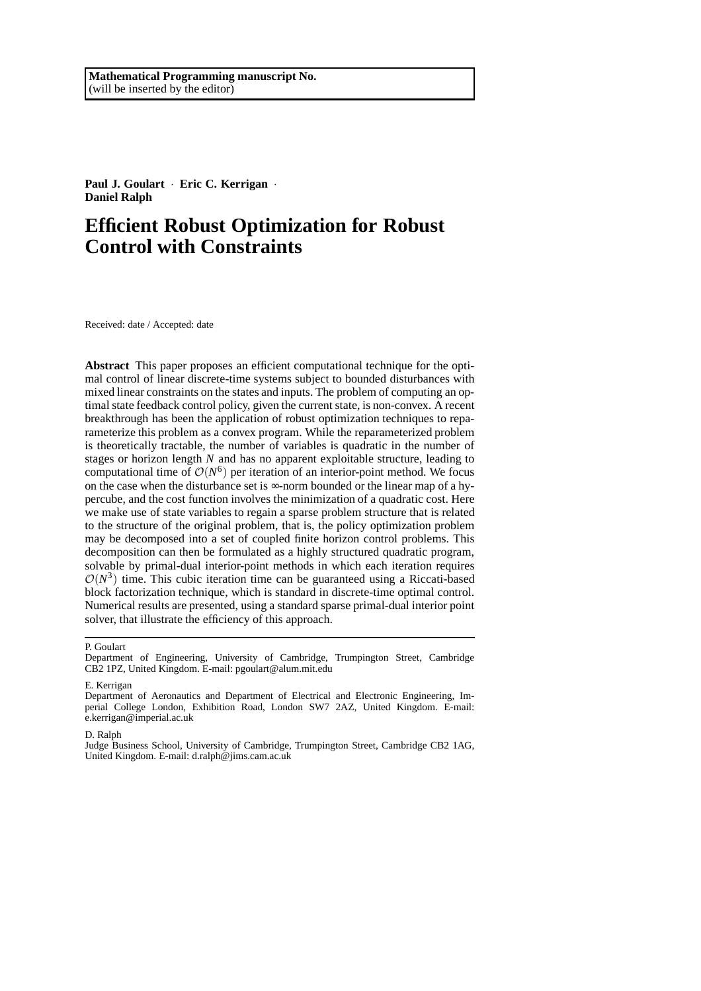**Paul J. Goulart** · **Eric C. Kerrigan** · **Daniel Ralph**

# **Efficient Robust Optimization for Robust Control with Constraints**

Received: date / Accepted: date

**Abstract** This paper proposes an efficient computational technique for the optimal control of linear discrete-time systems subject to bounded disturbances with mixed linear constraints on the states and inputs. The problem of computing an optimal state feedback control policy, given the current state, is non-convex. A recent breakthrough has been the application of robust optimization techniques to reparameterize this problem as a convex program. While the reparameterized problem is theoretically tractable, the number of variables is quadratic in the number of stages or horizon length *N* and has no apparent exploitable structure, leading to computational time of  $O(N^6)$  per iteration of an interior-point method. We focus on the case when the disturbance set is  $\infty$ -norm bounded or the linear map of a hypercube, and the cost function involves the minimization of a quadratic cost. Here we make use of state variables to regain a sparse problem structure that is related to the structure of the original problem, that is, the policy optimization problem may be decomposed into a set of coupled finite horizon control problems. This decomposition can then be formulated as a highly structured quadratic program, solvable by primal-dual interior-point methods in which each iteration requires  $\mathcal{O}(N^3)$  time. This cubic iteration time can be guaranteed using a Riccati-based block factorization technique, which is standard in discrete-time optimal control. Numerical results are presented, using a standard sparse primal-dual interior point solver, that illustrate the efficiency of this approach.

#### P. Goulart

#### D. Ralph

Judge Business School, University of Cambridge, Trumpington Street, Cambridge CB2 1AG, United Kingdom. E-mail: d.ralph@jims.cam.ac.uk

Department of Engineering, University of Cambridge, Trumpington Street, Cambridge CB2 1PZ, United Kingdom. E-mail: pgoulart@alum.mit.edu

E. Kerrigan

Department of Aeronautics and Department of Electrical and Electronic Engineering, Imperial College London, Exhibition Road, London SW7 2AZ, United Kingdom. E-mail: e.kerrigan@imperial.ac.uk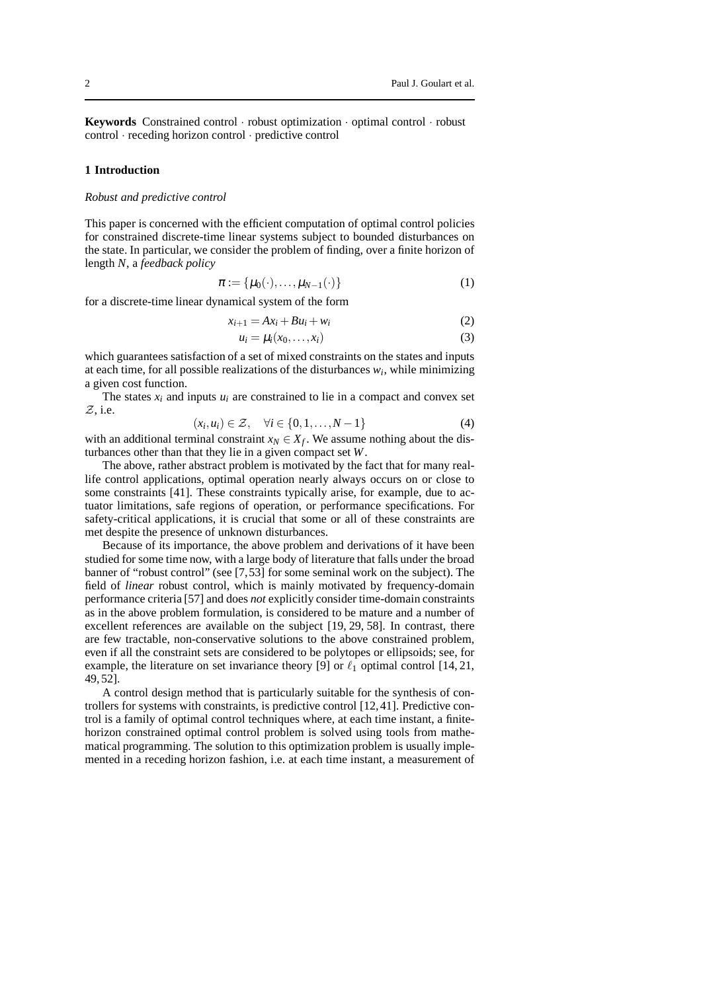**Keywords** Constrained control · robust optimization · optimal control · robust control · receding horizon control · predictive control

#### **1 Introduction**

#### *Robust and predictive control*

This paper is concerned with the efficient computation of optimal control policies for constrained discrete-time linear systems subject to bounded disturbances on the state. In particular, we consider the problem of finding, over a finite horizon of length *N*, a *feedback policy*

$$
\boldsymbol{\pi} := \{ \mu_0(\cdot), \dots, \mu_{N-1}(\cdot) \} \tag{1}
$$

for a discrete-time linear dynamical system of the form

$$
x_{i+1} = Ax_i + Bu_i + w_i \tag{2}
$$

$$
u_i = \mu_i(x_0, \dots, x_i) \tag{3}
$$

which guarantees satisfaction of a set of mixed constraints on the states and inputs at each time, for all possible realizations of the disturbances *w<sup>i</sup>* , while minimizing a given cost function.

The states  $x_i$  and inputs  $u_i$  are constrained to lie in a compact and convex set Z, i.e.

$$
(x_i, u_i) \in \mathcal{Z}, \quad \forall i \in \{0, 1, \dots, N-1\}
$$
 (4)

with an additional terminal constraint  $x_N \in X_f$ . We assume nothing about the disturbances other than that they lie in a given compact set *W*.

The above, rather abstract problem is motivated by the fact that for many reallife control applications, optimal operation nearly always occurs on or close to some constraints [41]. These constraints typically arise, for example, due to actuator limitations, safe regions of operation, or performance specifications. For safety-critical applications, it is crucial that some or all of these constraints are met despite the presence of unknown disturbances.

Because of its importance, the above problem and derivations of it have been studied for some time now, with a large body of literature that falls under the broad banner of "robust control" (see [7,53] for some seminal work on the subject). The field of *linear* robust control, which is mainly motivated by frequency-domain performance criteria [57] and does *not* explicitly consider time-domain constraints as in the above problem formulation, is considered to be mature and a number of excellent references are available on the subject [19, 29, 58]. In contrast, there are few tractable, non-conservative solutions to the above constrained problem, even if all the constraint sets are considered to be polytopes or ellipsoids; see, for example, the literature on set invariance theory [9] or  $\ell_1$  optimal control [14, 21, 49, 52].

A control design method that is particularly suitable for the synthesis of controllers for systems with constraints, is predictive control [12, 41]. Predictive control is a family of optimal control techniques where, at each time instant, a finitehorizon constrained optimal control problem is solved using tools from mathematical programming. The solution to this optimization problem is usually implemented in a receding horizon fashion, i.e. at each time instant, a measurement of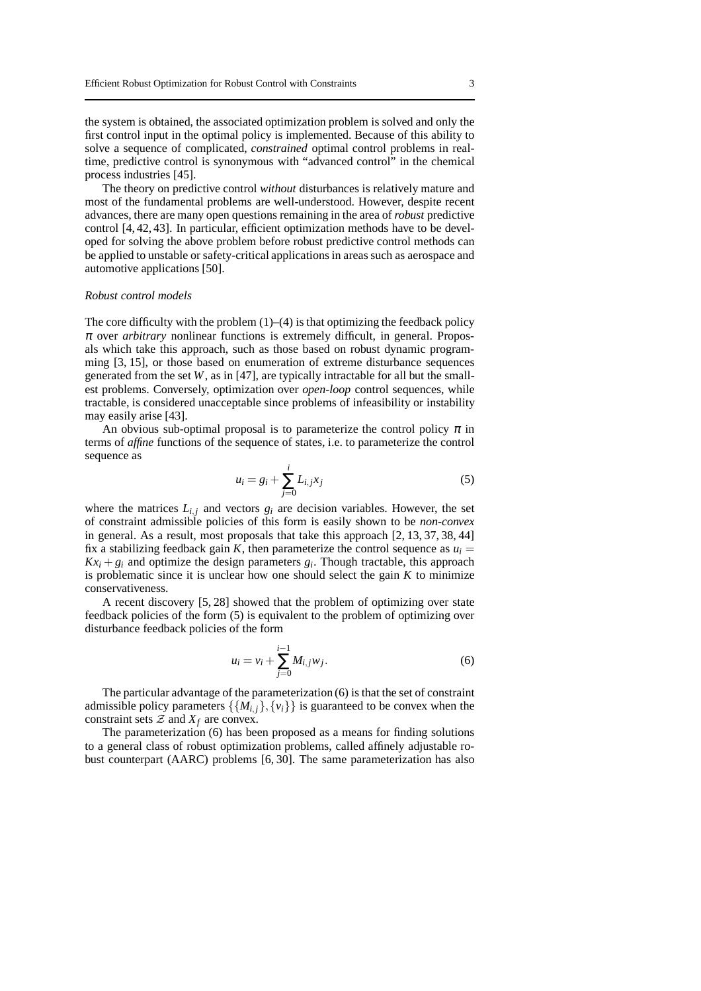the system is obtained, the associated optimization problem is solved and only the first control input in the optimal policy is implemented. Because of this ability to solve a sequence of complicated, *constrained* optimal control problems in realtime, predictive control is synonymous with "advanced control" in the chemical process industries [45].

The theory on predictive control *without* disturbances is relatively mature and most of the fundamental problems are well-understood. However, despite recent advances, there are many open questions remaining in the area of *robust* predictive control [4, 42, 43]. In particular, efficient optimization methods have to be developed for solving the above problem before robust predictive control methods can be applied to unstable or safety-critical applications in areas such as aerospace and automotive applications [50].

#### *Robust control models*

The core difficulty with the problem  $(1)$ – $(4)$  is that optimizing the feedback policy  $\pi$  over *arbitrary* nonlinear functions is extremely difficult, in general. Proposals which take this approach, such as those based on robust dynamic programming [3, 15], or those based on enumeration of extreme disturbance sequences generated from the set  $W$ , as in [47], are typically intractable for all but the smallest problems. Conversely, optimization over *open-loop* control sequences, while tractable, is considered unacceptable since problems of infeasibility or instability may easily arise [43].

An obvious sub-optimal proposal is to parameterize the control policy  $\pi$  in terms of *affine* functions of the sequence of states, i.e. to parameterize the control sequence as

$$
u_i = g_i + \sum_{j=0}^{i} L_{i,j} x_j
$$
 (5)

where the matrices  $L_{i,j}$  and vectors  $g_i$  are decision variables. However, the set of constraint admissible policies of this form is easily shown to be *non-convex* in general. As a result, most proposals that take this approach [2, 13, 37, 38, 44] fix a stabilizing feedback gain *K*, then parameterize the control sequence as  $u_i =$  $Kx_i + g_i$  and optimize the design parameters  $g_i$ . Though tractable, this approach is problematic since it is unclear how one should select the gain  $K$  to minimize conservativeness.

A recent discovery [5, 28] showed that the problem of optimizing over state feedback policies of the form (5) is equivalent to the problem of optimizing over disturbance feedback policies of the form

$$
u_i = v_i + \sum_{j=0}^{i-1} M_{i,j} w_j.
$$
 (6)

The particular advantage of the parameterization (6) is that the set of constraint admissible policy parameters  $\{\{M_{i,j}\},\{v_i\}\}\$ is guaranteed to be convex when the constraint sets  $Z$  and  $X_f$  are convex.

The parameterization (6) has been proposed as a means for finding solutions to a general class of robust optimization problems, called affinely adjustable robust counterpart (AARC) problems [6, 30]. The same parameterization has also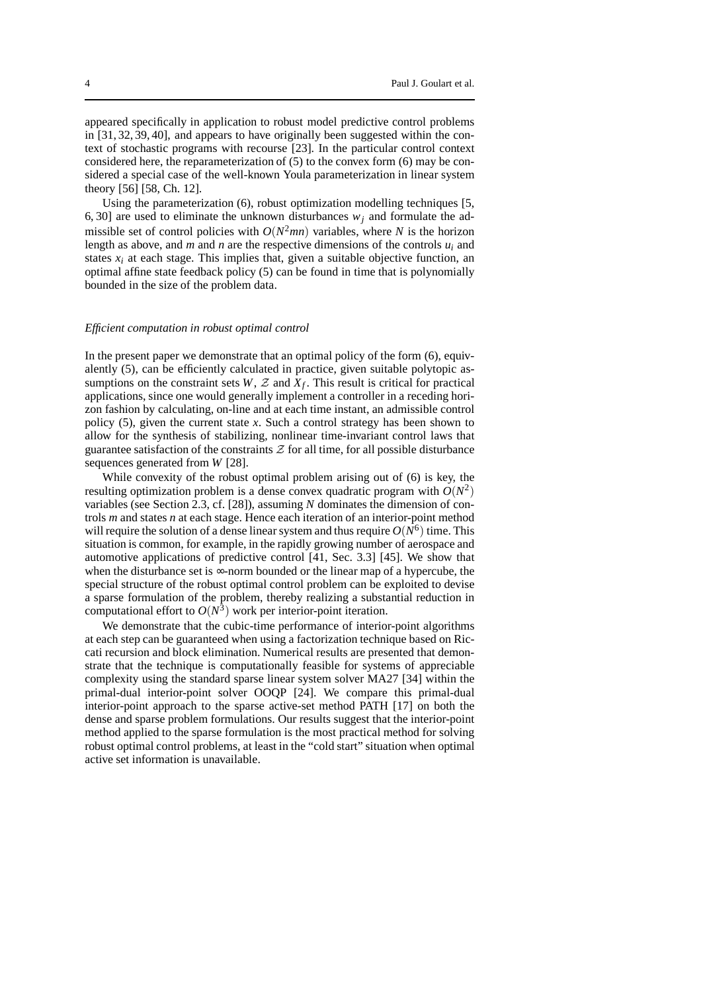appeared specifically in application to robust model predictive control problems in [31, 32, 39, 40], and appears to have originally been suggested within the context of stochastic programs with recourse [23]. In the particular control context considered here, the reparameterization of (5) to the convex form (6) may be considered a special case of the well-known Youla parameterization in linear system theory [56] [58, Ch. 12].

Using the parameterization (6), robust optimization modelling techniques [5, 6, 30] are used to eliminate the unknown disturbances  $w_i$  and formulate the admissible set of control policies with  $O(N^2mn)$  variables, where *N* is the horizon length as above, and *m* and *n* are the respective dimensions of the controls  $u_i$  and states  $x_i$  at each stage. This implies that, given a suitable objective function, an optimal affine state feedback policy (5) can be found in time that is polynomially bounded in the size of the problem data.

#### *Efficient computation in robust optimal control*

In the present paper we demonstrate that an optimal policy of the form (6), equivalently (5), can be efficiently calculated in practice, given suitable polytopic assumptions on the constraint sets  $W$ ,  $Z$  and  $X_f$ . This result is critical for practical applications, since one would generally implement a controller in a receding horizon fashion by calculating, on-line and at each time instant, an admissible control policy  $(5)$ , given the current state *x*. Such a control strategy has been shown to allow for the synthesis of stabilizing, nonlinear time-invariant control laws that guarantee satisfaction of the constraints  $\mathcal Z$  for all time, for all possible disturbance sequences generated from *W* [28].

While convexity of the robust optimal problem arising out of (6) is key, the resulting optimization problem is a dense convex quadratic program with  $O(N^2)$ variables (see Section 2.3, cf. [28]), assuming *N* dominates the dimension of controls *m* and states *n* at each stage. Hence each iteration of an interior-point method will require the solution of a dense linear system and thus require  $O(N^6)$  time. This situation is common, for example, in the rapidly growing number of aerospace and automotive applications of predictive control [41, Sec. 3.3] [45]. We show that when the disturbance set is ∞-norm bounded or the linear map of a hypercube, the special structure of the robust optimal control problem can be exploited to devise a sparse formulation of the problem, thereby realizing a substantial reduction in computational effort to  $O(N^3)$  work per interior-point iteration.

We demonstrate that the cubic-time performance of interior-point algorithms at each step can be guaranteed when using a factorization technique based on Riccati recursion and block elimination. Numerical results are presented that demonstrate that the technique is computationally feasible for systems of appreciable complexity using the standard sparse linear system solver MA27 [34] within the primal-dual interior-point solver OOQP [24]. We compare this primal-dual interior-point approach to the sparse active-set method PATH [17] on both the dense and sparse problem formulations. Our results suggest that the interior-point method applied to the sparse formulation is the most practical method for solving robust optimal control problems, at least in the "cold start" situation when optimal active set information is unavailable.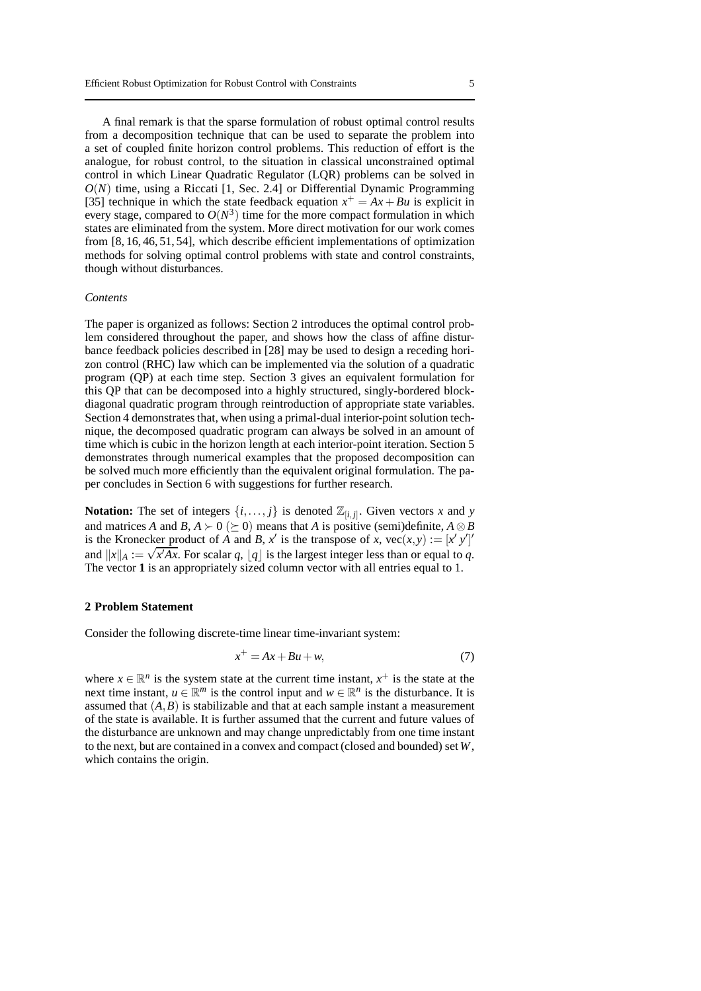A final remark is that the sparse formulation of robust optimal control results from a decomposition technique that can be used to separate the problem into a set of coupled finite horizon control problems. This reduction of effort is the analogue, for robust control, to the situation in classical unconstrained optimal control in which Linear Quadratic Regulator (LQR) problems can be solved in  $O(N)$  time, using a Riccati [1, Sec. 2.4] or Differential Dynamic Programming [35] technique in which the state feedback equation  $x^+ = Ax + Bu$  is explicit in every stage, compared to  $O(N^3)$  time for the more compact formulation in which states are eliminated from the system. More direct motivation for our work comes from [8, 16, 46, 51, 54], which describe efficient implementations of optimization methods for solving optimal control problems with state and control constraints, though without disturbances.

#### *Contents*

The paper is organized as follows: Section 2 introduces the optimal control problem considered throughout the paper, and shows how the class of affine disturbance feedback policies described in [28] may be used to design a receding horizon control (RHC) law which can be implemented via the solution of a quadratic program (QP) at each time step. Section 3 gives an equivalent formulation for this QP that can be decomposed into a highly structured, singly-bordered blockdiagonal quadratic program through reintroduction of appropriate state variables. Section 4 demonstrates that, when using a primal-dual interior-point solution technique, the decomposed quadratic program can always be solved in an amount of time which is cubic in the horizon length at each interior-point iteration. Section 5 demonstrates through numerical examples that the proposed decomposition can be solved much more efficiently than the equivalent original formulation. The paper concludes in Section 6 with suggestions for further research.

**Notation:** The set of integers  $\{i, \ldots, j\}$  is denoted  $\mathbb{Z}_{[i,j]}$ . Given vectors *x* and *y* and matrices *A* and *B*,  $A \succ 0$  ( $\succ 0$ ) means that *A* is positive (semi)definite,  $A \otimes B$ is the Kronecker product of *A* and *B*,  $x'$  is the transpose of *x*,  $\text{vec}(x, y) := [x' y']'$ and  $||x||_A := \sqrt{x'Ax}$ . For scalar *q*,  $|q|$  is the largest integer less than or equal to *q*. The vector **1** is an appropriately sized column vector with all entries equal to 1.

#### **2 Problem Statement**

Consider the following discrete-time linear time-invariant system:

$$
x^+ = Ax + Bu + w,\tag{7}
$$

where  $x \in \mathbb{R}^n$  is the system state at the current time instant,  $x^+$  is the state at the next time instant,  $u \in \mathbb{R}^m$  is the control input and  $w \in \mathbb{R}^n$  is the disturbance. It is assumed that  $(A, B)$  is stabilizable and that at each sample instant a measurement of the state is available. It is further assumed that the current and future values of the disturbance are unknown and may change unpredictably from one time instant to the next, but are contained in a convex and compact (closed and bounded) set*W*, which contains the origin.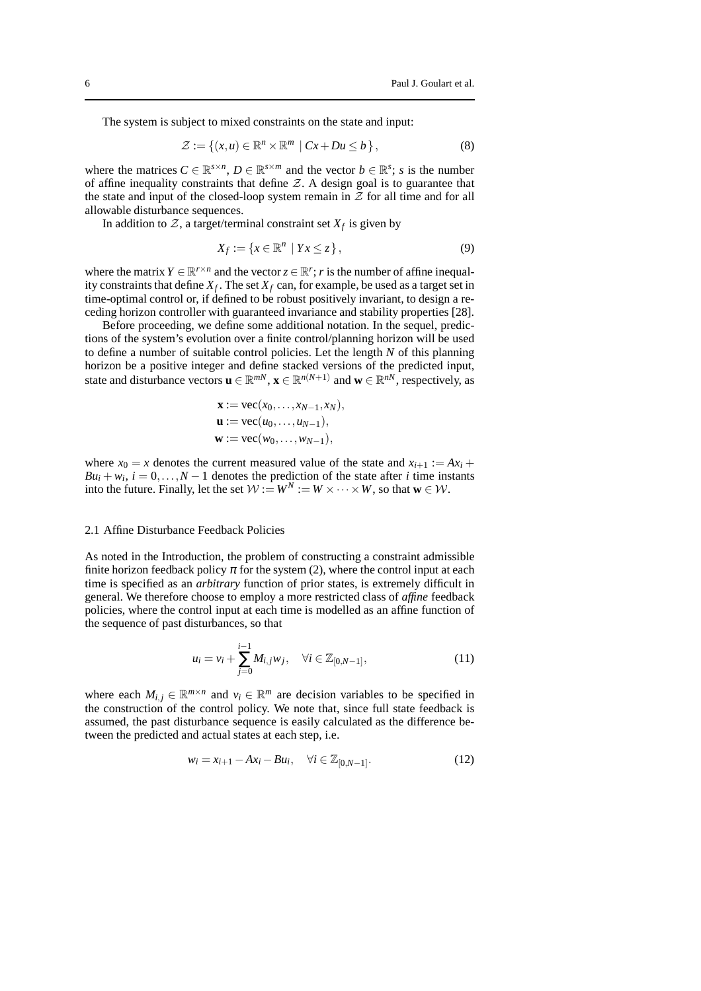The system is subject to mixed constraints on the state and input:

$$
\mathcal{Z} := \{(x, u) \in \mathbb{R}^n \times \mathbb{R}^m \mid Cx + Du \le b\},\tag{8}
$$

where the matrices  $C \in \mathbb{R}^{s \times n}$ ,  $D \in \mathbb{R}^{s \times m}$  and the vector  $b \in \mathbb{R}^s$ ; *s* is the number of affine inequality constraints that define  $Z$ . A design goal is to guarantee that the state and input of the closed-loop system remain in  $Z$  for all time and for all allowable disturbance sequences.

In addition to  $Z$ , a target/terminal constraint set  $X_f$  is given by

$$
X_f := \{ x \in \mathbb{R}^n \mid Yx \le z \},\tag{9}
$$

where the matrix  $Y \in \mathbb{R}^{r \times n}$  and the vector  $z \in \mathbb{R}^r$ ; *r* is the number of affine inequality constraints that define  $X_f$ . The set  $X_f$  can, for example, be used as a target set in time-optimal control or, if defined to be robust positively invariant, to design a receding horizon controller with guaranteed invariance and stability properties [28].

Before proceeding, we define some additional notation. In the sequel, predictions of the system's evolution over a finite control/planning horizon will be used to define a number of suitable control policies. Let the length *N* of this planning horizon be a positive integer and define stacked versions of the predicted input, state and disturbance vectors  $\mathbf{u} \in \mathbb{R}^{mN}$ ,  $\mathbf{x} \in \mathbb{R}^{n(N+1)}$  and  $\mathbf{w} \in \mathbb{R}^{nN}$ , respectively, as

$$
\mathbf{x} := \text{vec}(x_0, \dots, x_{N-1}, x_N),
$$
  
\n
$$
\mathbf{u} := \text{vec}(u_0, \dots, u_{N-1}),
$$
  
\n
$$
\mathbf{w} := \text{vec}(w_0, \dots, w_{N-1}),
$$

where  $x_0 = x$  denotes the current measured value of the state and  $x_{i+1} := Ax_i + b_i$  $B u_i + w_i$ ,  $i = 0, \ldots, N - 1$  denotes the prediction of the state after *i* time instants into the future. Finally, let the set  $W := W^N := W \times \cdots \times W$ , so that  $\mathbf{w} \in \mathcal{W}$ .

#### 2.1 Affine Disturbance Feedback Policies

As noted in the Introduction, the problem of constructing a constraint admissible finite horizon feedback policy  $\pi$  for the system (2), where the control input at each time is specified as an *arbitrary* function of prior states, is extremely difficult in general. We therefore choose to employ a more restricted class of *affine* feedback policies, where the control input at each time is modelled as an affine function of the sequence of past disturbances, so that

$$
u_i = v_i + \sum_{j=0}^{i-1} M_{i,j} w_j, \quad \forall i \in \mathbb{Z}_{[0,N-1]},
$$
\n(11)

where each  $M_{i,j} \in \mathbb{R}^{m \times n}$  and  $v_i \in \mathbb{R}^m$  are decision variables to be specified in the construction of the control policy. We note that, since full state feedback is assumed, the past disturbance sequence is easily calculated as the difference between the predicted and actual states at each step, i.e.

$$
w_i = x_{i+1} - Ax_i - Bu_i, \quad \forall i \in \mathbb{Z}_{[0,N-1]}.
$$
 (12)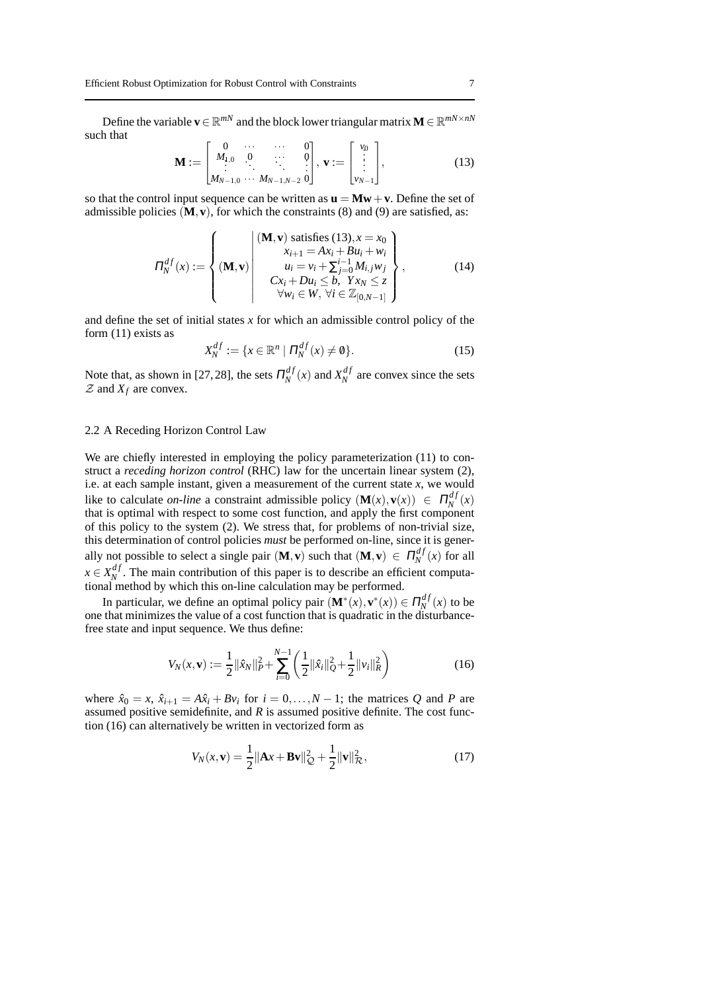Define the variable  $\mathbf{v} \in \mathbb{R}^{mN}$  and the block lower triangular matrix  $\mathbf{M} \in \mathbb{R}^{mN \times nN}$ such that

$$
\mathbf{M} := \begin{bmatrix} 0 & \cdots & \cdots & 0 \\ M_{1,0} & 0 & \cdots & 0 \\ \vdots & \ddots & \ddots & \vdots \\ M_{N-1,0} & \cdots & M_{N-1,N-2} & 0 \end{bmatrix}, \mathbf{v} := \begin{bmatrix} v_0 \\ \vdots \\ v_{N-1} \end{bmatrix},
$$
(13)

so that the control input sequence can be written as  $\mathbf{u} = \mathbf{M}\mathbf{w} + \mathbf{v}$ . Define the set of admissible policies  $(M, v)$ , for which the constraints (8) and (9) are satisfied, as:

$$
\Pi_N^{df}(x) := \begin{cases}\n(\mathbf{M}, \mathbf{v}) \text{ satisfies (13)}, x = x_0 \\
x_{i+1} = Ax_i + Bu_i + w_i \\
u_i = v_i + \sum_{j=0}^{i-1} M_{i,j} w_j \\
Cx_i + Du_i \leq b, \ Yx_N \leq z \\
\forall w_i \in W, \ \forall i \in \mathbb{Z}_{[0, N-1]}\n\end{cases}
$$
\n(14)

and define the set of initial states *x* for which an admissible control policy of the form (11) exists as

$$
X_N^{df} := \{ x \in \mathbb{R}^n \mid \Pi_N^{df}(x) \neq \emptyset \}.
$$
 (15)

Note that, as shown in [27, 28], the sets  $\Pi_N^{df}$  $X_N^{df}(x)$  and  $X_N^{df}(x)$  $N<sup>a</sup>$  are convex since the sets  $Z$  and  $X_f$  are convex.

## 2.2 A Receding Horizon Control Law

We are chiefly interested in employing the policy parameterization (11) to construct a *receding horizon control* (RHC) law for the uncertain linear system (2), i.e. at each sample instant, given a measurement of the current state *x*, we would like to calculate *on-line* a constraint admissible policy  $(M(x), v(x)) \in \Pi_N^{df}$  $\binom{df}{N}(x)$ that is optimal with respect to some cost function, and apply the first component of this policy to the system (2). We stress that, for problems of non-trivial size, this determination of control policies *must* be performed on-line, since it is generally not possible to select a single pair  $(M, v)$  such that  $(M, v) \in \Pi_N^{d_f}$  $\int_{N}^{a} f(x)$  for all  $x \in X_N^{df}$  $N<sup>aj</sup>$ . The main contribution of this paper is to describe an efficient computational method by which this on-line calculation may be performed.

In particular, we define an optimal policy pair  $(\mathbf{M}^*(x), \mathbf{v}^*(x)) \in \Pi_N^{df}$  $\binom{dy}{N}(x)$  to be one that minimizes the value of a cost function that is quadratic in the disturbancefree state and input sequence. We thus define:

$$
V_N(x, \mathbf{v}) := \frac{1}{2} ||\hat{x}_N||_P^2 + \sum_{i=0}^{N-1} \left( \frac{1}{2} ||\hat{x}_i||_Q^2 + \frac{1}{2} ||\hat{v}_i||_R^2 \right)
$$
(16)

where  $\hat{x}_0 = x$ ,  $\hat{x}_{i+1} = A\hat{x}_i + Bv_i$  for  $i = 0, ..., N-1$ ; the matrices *Q* and *P* are assumed positive semidefinite, and *R* is assumed positive definite. The cost function (16) can alternatively be written in vectorized form as

$$
V_N(x, \mathbf{v}) = \frac{1}{2} ||\mathbf{A}x + \mathbf{B}\mathbf{v}||_{\mathcal{Q}}^2 + \frac{1}{2} ||\mathbf{v}||_{\mathcal{R}}^2,
$$
 (17)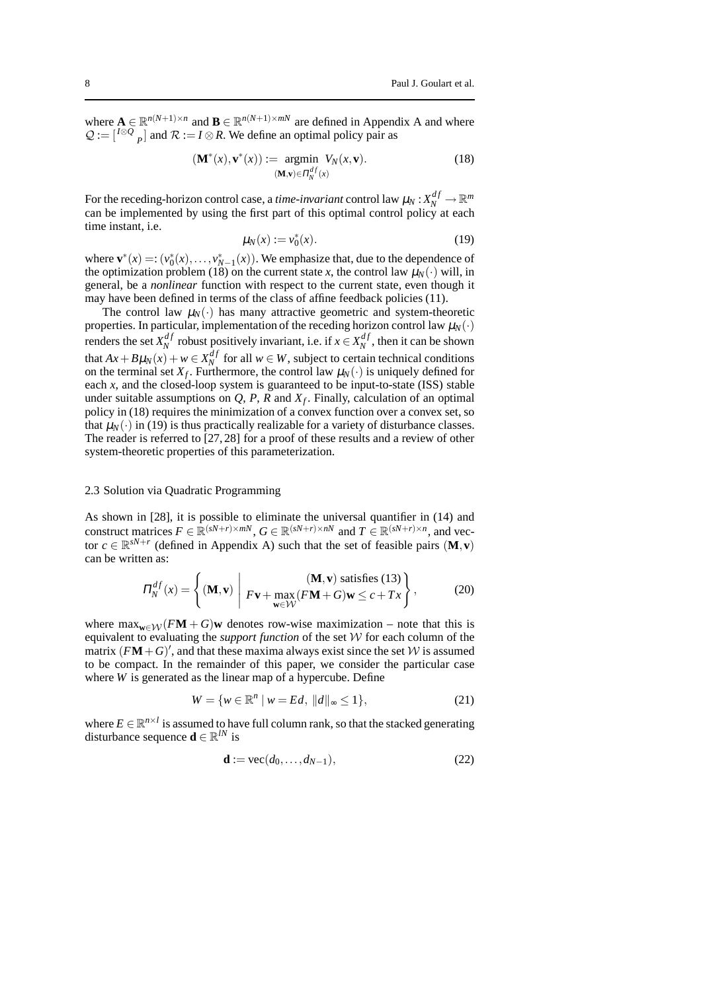where  $\mathbf{A} \in \mathbb{R}^{n(N+1)\times n}$  and  $\mathbf{B} \in \mathbb{R}^{n(N+1)\times m}$  are defined in Appendix A and where  $Q := \begin{bmatrix} I \otimes Q \\ P \end{bmatrix}$  and  $R := I \otimes R$ . We define an optimal policy pair as

$$
(\mathbf{M}^*(x), \mathbf{v}^*(x)) := \underset{(\mathbf{M}, \mathbf{v}) \in \Pi_N^{df}(x)}{\operatorname{argmin}} V_N(x, \mathbf{v}).
$$
\n(18)

For the receding-horizon control case, a *time-invariant* control law  $\mu_N : X_N^{df} \to \mathbb{R}^m$ can be implemented by using the first part of this optimal control policy at each time instant, i.e.

$$
\mu_N(x) := v_0^*(x). \tag{19}
$$

where  $\mathbf{v}^*(x) = (\nu_0^*(x), \dots, \nu_{N-1}^*(x))$ . We emphasize that, due to the dependence of the optimization problem (18) on the current state *x*, the control law  $\mu_N(\cdot)$  will, in general, be a *nonlinear* function with respect to the current state, even though it may have been defined in terms of the class of affine feedback policies (11).

The control law  $\mu_N(\cdot)$  has many attractive geometric and system-theoretic properties. In particular, implementation of the receding horizon control law  $\mu_N(\cdot)$ renders the set  $X_N^{df}$  $N$ <sup>*df*</sup> robust positively invariant, i.e. if  $x \in X_N^{df}$  $\binom{a}{N}$ , then it can be shown that  $Ax + B\mu_N(x) + w \in X_N^{df}$  $N$  for all  $w \in W$ , subject to certain technical conditions on the terminal set  $X_f$ . Furthermore, the control law  $\mu_N(\cdot)$  is uniquely defined for each *x*, and the closed-loop system is guaranteed to be input-to-state (ISS) stable under suitable assumptions on *Q*, *P*, *R* and *X<sup>f</sup>* . Finally, calculation of an optimal policy in (18) requires the minimization of a convex function over a convex set, so that  $\mu_N(\cdot)$  in (19) is thus practically realizable for a variety of disturbance classes. The reader is referred to [27, 28] for a proof of these results and a review of other system-theoretic properties of this parameterization.

#### 2.3 Solution via Quadratic Programming

As shown in [28], it is possible to eliminate the universal quantifier in (14) and construct matrices  $F \in \mathbb{R}^{(sN+r) \times mN}$ ,  $G \in \mathbb{R}^{(sN+r) \times nN}$  and  $T \in \mathbb{R}^{(sN+r) \times n}$ , and vector  $c \in \mathbb{R}^{sN+r}$  (defined in Appendix A) such that the set of feasible pairs  $(M, v)$ can be written as:

$$
\Pi_N^{df}(x) = \left\{ (\mathbf{M}, \mathbf{v}) \middle| F\mathbf{v} + \max_{\mathbf{w} \in \mathcal{W}} (F\mathbf{M} + G)\mathbf{w} \le c + Tx \right\},\tag{20}
$$

where  $\max_{\mathbf{w}\in\mathcal{W}} (F\mathbf{M} + G)\mathbf{w}$  denotes row-wise maximization – note that this is equivalent to evaluating the *support function* of the set W for each column of the matrix  $(FM + G)'$ , and that these maxima always exist since the set W is assumed to be compact. In the remainder of this paper, we consider the particular case where *W* is generated as the linear map of a hypercube. Define

$$
W = \{ w \in \mathbb{R}^n \mid w = Ed, \, \|d\|_{\infty} \le 1 \},\tag{21}
$$

where  $E \in \mathbb{R}^{n \times l}$  is assumed to have full column rank, so that the stacked generating disturbance sequence **d**  $\in \mathbb{R}^{lN}$  is

$$
\mathbf{d} := \text{vec}(d_0, \dots, d_{N-1}),\tag{22}
$$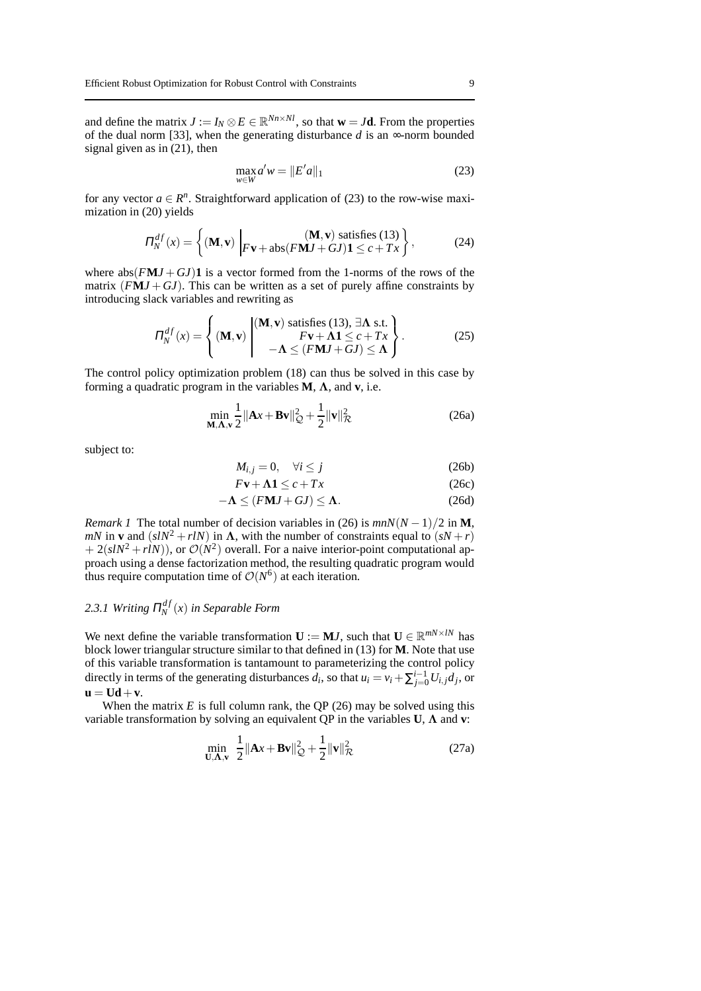and define the matrix  $J := I_N \otimes E \in \mathbb{R}^{N_n \times N_l}$ , so that  $\mathbf{w} = J\mathbf{d}$ . From the properties of the dual norm [33], when the generating disturbance  $d$  is an  $\infty$ -norm bounded signal given as in (21), then

$$
\max_{w \in W} a'w = \|E'a\|_1
$$
 (23)

for any vector  $a \in \mathbb{R}^n$ . Straightforward application of (23) to the row-wise maximization in (20) yields

$$
\Pi_N^{df}(x) = \left\{ (\mathbf{M}, \mathbf{v}) \bigg| F\mathbf{v} + \mathrm{abs}(F\mathbf{M}J + GJ)\mathbf{1} \le c + Tx \right\},\tag{24}
$$

where  $abs(FMJ + GJ)$ **1** is a vector formed from the 1-norms of the rows of the matrix  $(FMJ + GJ)$ . This can be written as a set of purely affine constraints by introducing slack variables and rewriting as

$$
\Pi_N^{df}(x) = \left\{ (\mathbf{M}, \mathbf{v}) \begin{pmatrix} (\mathbf{M}, \mathbf{v}) \text{ satisfies (13), } \exists \mathbf{\Lambda} \text{ s.t.} \\ F\mathbf{v} + \mathbf{\Lambda} \mathbf{1} \le c + Tx \\ -\mathbf{\Lambda} \le (FMJ + GJ) \le \mathbf{\Lambda} \end{pmatrix}. \right. \tag{25}
$$

The control policy optimization problem (18) can thus be solved in this case by forming a quadratic program in the variables **M**, Λ, and **v**, i.e.

$$
\min_{\mathbf{M},\mathbf{\Lambda},\mathbf{v}} \frac{1}{2} \|\mathbf{A}x + \mathbf{B}\mathbf{v}\|_{\mathcal{Q}}^2 + \frac{1}{2} \|\mathbf{v}\|_{\mathcal{R}}^2
$$
 (26a)

subject to:

$$
M_{i,j} = 0, \quad \forall i \le j \tag{26b}
$$

$$
F\mathbf{v} + \mathbf{\Lambda} \mathbf{1} \le c + Tx \tag{26c}
$$

$$
-\Lambda \le (FMJ + GJ) \le \Lambda. \tag{26d}
$$

*Remark 1* The total number of decision variables in (26) is  $mnN(N-1)/2$  in **M**, *mN* in **v** and  $(s/N^2 + r/N)$  in  $\Lambda$ , with the number of constraints equal to  $(sN + r)$  $+ 2(s/N^2 + r/N)$ , or  $\mathcal{O}(N^2)$  overall. For a naive interior-point computational approach using a dense factorization method, the resulting quadratic program would thus require computation time of  $O(N^6)$  at each iteration.

#### 2.3.1 Writing  $\Pi_N^{df}$ *N* (*x*) *in Separable Form*

We next define the variable transformation  $\mathbf{U} := \mathbf{M} \mathbf{J}$ , such that  $\mathbf{U} \in \mathbb{R}^{mN \times lN}$  has block lower triangular structure similar to that defined in (13) for **M**. Note that use of this variable transformation is tantamount to parameterizing the control policy directly in terms of the generating disturbances  $d_i$ , so that  $u_i = v_i + \sum_{j=0}^{i-1} U_{i,j} d_j$ , or  $u = Ud + v.$ 

When the matrix  $E$  is full column rank, the QP (26) may be solved using this variable transformation by solving an equivalent QP in the variables **U**, Λ and **v**:

$$
\min_{\mathbf{U}, \mathbf{\Lambda}, \mathbf{v}} \quad \frac{1}{2} \|\mathbf{A} \mathbf{x} + \mathbf{B} \mathbf{v}\|_{\mathcal{Q}}^2 + \frac{1}{2} \|\mathbf{v}\|_{\mathcal{R}}^2 \tag{27a}
$$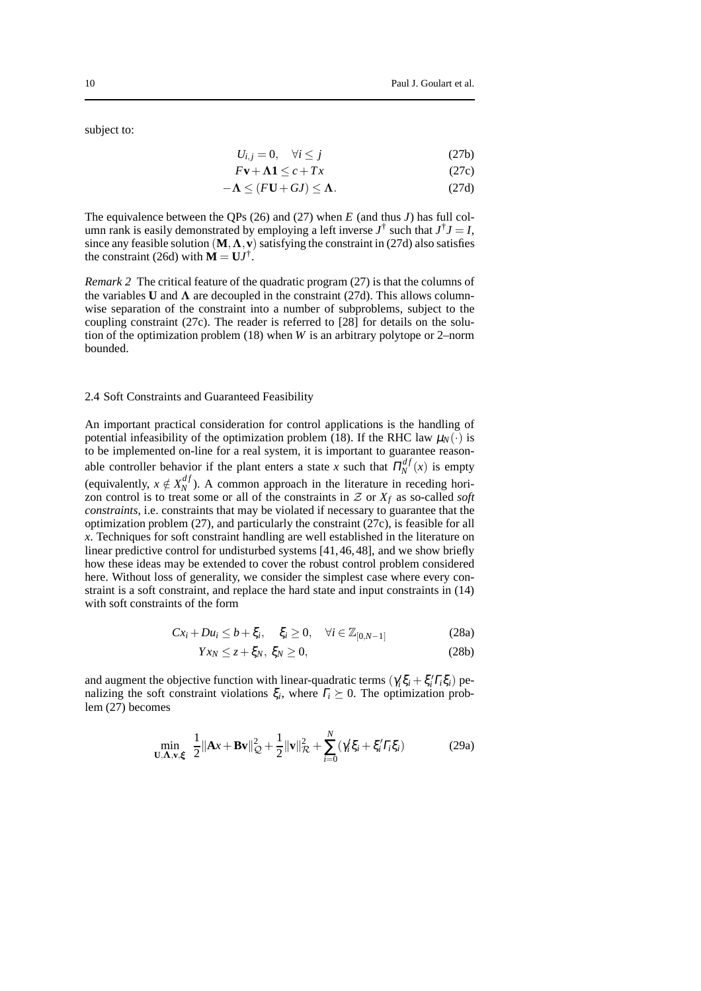subject to:

$$
U_{i,j} = 0, \quad \forall i \le j \tag{27b}
$$

$$
F\mathbf{v} + \mathbf{\Lambda} \mathbf{1} \le c + Tx \tag{27c}
$$

$$
-\Lambda \le (FU + GJ) \le \Lambda. \tag{27d}
$$

The equivalence between the QPs (26) and (27) when *E* (and thus *J*) has full column rank is easily demonstrated by employing a left inverse  $J^{\dagger}$  such that  $J^{\dagger}J = I$ , since any feasible solution  $(M, \Lambda, v)$  satisfying the constraint in (27d) also satisfies the constraint (26d) with  $\mathbf{M} = \mathbf{U} \mathbf{J}^{\dagger}$ .

*Remark 2* The critical feature of the quadratic program (27) is that the columns of the variables **U** and  $\Lambda$  are decoupled in the constraint (27d). This allows columnwise separation of the constraint into a number of subproblems, subject to the coupling constraint (27c). The reader is referred to [28] for details on the solution of the optimization problem (18) when *W* is an arbitrary polytope or 2–norm bounded.

#### 2.4 Soft Constraints and Guaranteed Feasibility

An important practical consideration for control applications is the handling of potential infeasibility of the optimization problem (18). If the RHC law  $\mu_N(\cdot)$  is to be implemented on-line for a real system, it is important to guarantee reasonable controller behavior if the plant enters a state *x* such that  $\Pi_N^{df}$  $\int_{N}^{a} f(x)$  is empty (equivalently,  $x \notin X_N^{df}$  $N$ ). A common approach in the literature in receding horizon control is to treat some or all of the constraints in  $Z$  or  $X_f$  as so-called *soft constraints*, i.e. constraints that may be violated if necessary to guarantee that the optimization problem (27), and particularly the constraint (27c), is feasible for all *x*. Techniques for soft constraint handling are well established in the literature on linear predictive control for undisturbed systems [41,46,48], and we show briefly how these ideas may be extended to cover the robust control problem considered here. Without loss of generality, we consider the simplest case where every constraint is a soft constraint, and replace the hard state and input constraints in (14) with soft constraints of the form

$$
Cx_i + Du_i \le b + \xi_i, \quad \xi_i \ge 0, \quad \forall i \in \mathbb{Z}_{[0,N-1]}
$$
 (28a)

$$
Yx_N \le z + \xi_N, \ \xi_N \ge 0,\tag{28b}
$$

and augment the objective function with linear-quadratic terms  $(\gamma_i' \xi_i + \xi_i' \Gamma_i \xi_i)$  penalizing the soft constraint violations  $\xi_i$ , where  $\Gamma_i \succeq 0$ . The optimization problem (27) becomes

$$
\min_{\mathbf{U},\mathbf{\Lambda},\mathbf{v},\xi} \frac{1}{2} ||\mathbf{A}x + \mathbf{B}\mathbf{v}||_{Q}^{2} + \frac{1}{2} ||\mathbf{v}||_{R}^{2} + \sum_{i=0}^{N} (\gamma_{i}'\xi_{i} + \xi_{i}'\Gamma_{i}\xi_{i})
$$
(29a)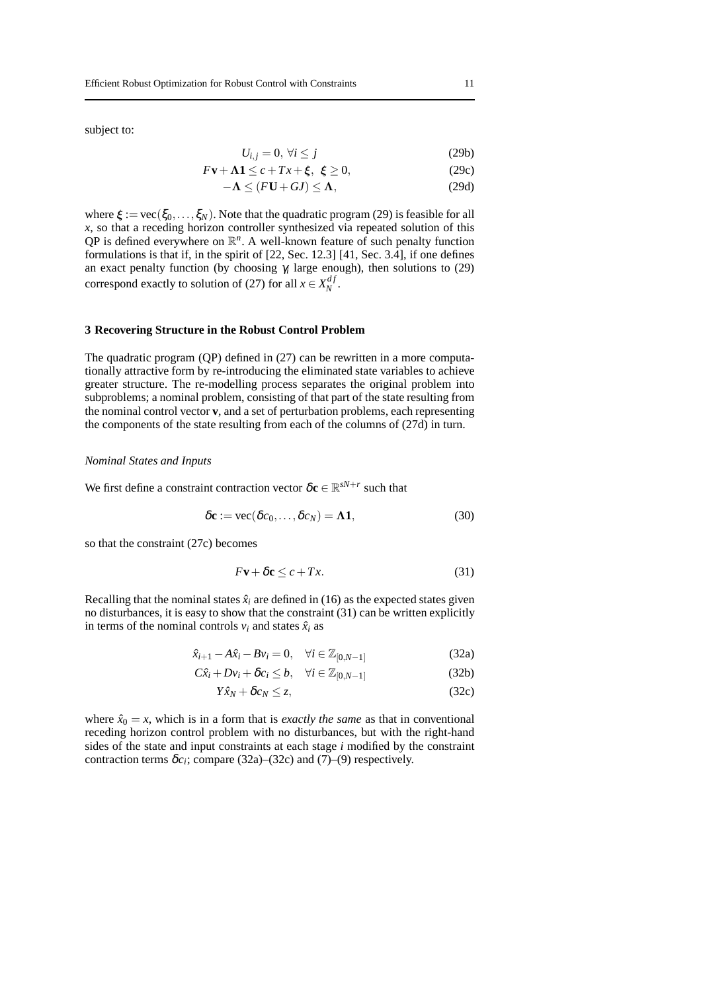subject to:

$$
U_{i,j} = 0, \,\forall i \le j \tag{29b}
$$

$$
F\mathbf{v} + \mathbf{\Lambda} \mathbf{1} \le c + Tx + \xi, \ \xi \ge 0,
$$
 (29c)

$$
-\Lambda \le (FU + GJ) \le \Lambda, \tag{29d}
$$

where  $\xi := \text{vec}(\xi_0, \dots, \xi_N)$ . Note that the quadratic program (29) is feasible for all *x*, so that a receding horizon controller synthesized via repeated solution of this  $QP$  is defined everywhere on  $\mathbb{R}^n$ . A well-known feature of such penalty function formulations is that if, in the spirit of [22, Sec. 12.3] [41, Sec. 3.4], if one defines an exact penalty function (by choosing  $\gamma_i$  large enough), then solutions to (29) correspond exactly to solution of (27) for all  $x \in X_N^{df}$ *N* .

#### **3 Recovering Structure in the Robust Control Problem**

The quadratic program (QP) defined in (27) can be rewritten in a more computationally attractive form by re-introducing the eliminated state variables to achieve greater structure. The re-modelling process separates the original problem into subproblems; a nominal problem, consisting of that part of the state resulting from the nominal control vector **v**, and a set of perturbation problems, each representing the components of the state resulting from each of the columns of (27d) in turn.

#### *Nominal States and Inputs*

We first define a constraint contraction vector  $\delta \mathbf{c} \in \mathbb{R}^{sN+r}$  such that

$$
\delta \mathbf{c} := \text{vec}(\delta c_0, \dots, \delta c_N) = \mathbf{\Lambda} \mathbf{1},\tag{30}
$$

so that the constraint (27c) becomes

$$
F\mathbf{v} + \delta \mathbf{c} \le c + Tx. \tag{31}
$$

Recalling that the nominal states  $\hat{x}_i$  are defined in (16) as the expected states given no disturbances, it is easy to show that the constraint (31) can be written explicitly in terms of the nominal controls  $v_i$  and states  $\hat{x}_i$  as

$$
\hat{x}_{i+1} - A\hat{x}_i - Bv_i = 0, \quad \forall i \in \mathbb{Z}_{[0,N-1]}
$$
 (32a)

$$
C\hat{x}_i + Dv_i + \delta c_i \le b, \quad \forall i \in \mathbb{Z}_{[0,N-1]}
$$
 (32b)

$$
Y\hat{x}_N + \delta c_N \le z,\tag{32c}
$$

where  $\hat{x}_0 = x$ , which is in a form that is *exactly the same* as that in conventional receding horizon control problem with no disturbances, but with the right-hand sides of the state and input constraints at each stage *i* modified by the constraint contraction terms  $\delta c_i$ ; compare (32a)–(32c) and (7)–(9) respectively.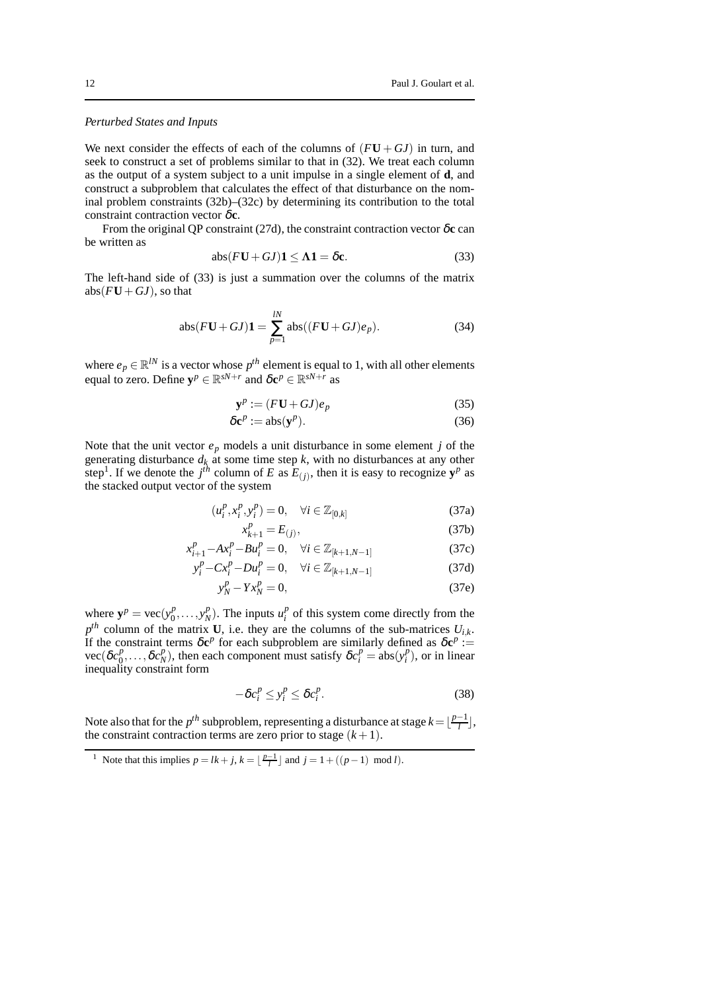#### *Perturbed States and Inputs*

We next consider the effects of each of the columns of  $(FU+GJ)$  in turn, and seek to construct a set of problems similar to that in (32). We treat each column as the output of a system subject to a unit impulse in a single element of **d**, and construct a subproblem that calculates the effect of that disturbance on the nominal problem constraints (32b)–(32c) by determining its contribution to the total constraint contraction vector δ**c**.

From the original QP constraint (27d), the constraint contraction vector δ**c** can be written as

$$
abs(FU+GJ)\mathbf{1} \le \Lambda \mathbf{1} = \delta \mathbf{c}.\tag{33}
$$

The left-hand side of (33) is just a summation over the columns of the matrix abs( $F$ **U** +  $G$ *J*), so that

abs
$$
(FU+GJ)
$$
**1** =  $\sum_{p=1}^{lN} abs((FU+GJ)e_p)$ . (34)

where  $e_p \in \mathbb{R}^N$  is a vector whose  $p^{th}$  element is equal to 1, with all other elements equal to zero. Define  $\mathbf{y}^p \in \mathbb{R}^{sN+r}$  and  $\delta \mathbf{c}^p \in \mathbb{R}^{sN+r}$  as

$$
\mathbf{y}^p := (F\mathbf{U} + G\mathbf{J})e_p \tag{35}
$$

$$
\delta \mathbf{c}^p := \mathrm{abs}(\mathbf{y}^p). \tag{36}
$$

Note that the unit vector  $e_p$  models a unit disturbance in some element  $j$  of the generating disturbance *d<sup>k</sup>* at some time step *k*, with no disturbances at any other step<sup>1</sup>. If we denote the  $j<sup>th</sup>$  column of *E* as  $E_{(j)}$ , then it is easy to recognize  $y<sup>p</sup>$  as the stacked output vector of the system

$$
(u_i^p, x_i^p, y_i^p) = 0, \quad \forall i \in \mathbb{Z}_{[0,k]}
$$
 (37a)

$$
x_{k+1}^p = E_{(j)},
$$
\n(37b)

$$
x_{i+1}^p - Ax_i^p - Bu_i^p = 0, \quad \forall i \in \mathbb{Z}_{[k+1, N-1]}
$$
 (37c)

$$
y_i^p - Cx_i^p - Du_i^p = 0, \quad \forall i \in \mathbb{Z}_{[k+1, N-1]}
$$
 (37d)

$$
y_N^p - Yx_N^p = 0,\t\t(37e)
$$

where  $y^p$  = vec( $y_0^p$ )  $\begin{array}{c} p_1, \ldots, y_N^p \end{array}$  $\binom{p}{N}$ . The inputs  $u_i^p$  $\frac{p}{i}$  of this system come directly from the  $p^{th}$  column of the matrix **U**, i.e. they are the columns of the sub-matrices  $U_{i,k}$ . If the constraint terms  $\delta e^p$  for each subproblem are similarly defined as  $\delta e^p :=$  $vec(\delta c_0^p)$  $\frac{p}{0}, \ldots, \delta c_N^p$ *P*<sub>*N*</sub>), then each component must satisfy  $\delta c_i^p = \text{abs}(y_i^p)$  $i<sup>p</sup>$ ), or in linear inequality constraint form

$$
-\delta c_i^p \le y_i^p \le \delta c_i^p. \tag{38}
$$

Note also that for the  $p^{th}$  subproblem, representing a disturbance at stage  $k = \lfloor \frac{p-1}{l} \rfloor$ , the constraint contraction terms are zero prior to stage  $(k+1)$ .

<sup>&</sup>lt;sup>1</sup> Note that this implies  $p = lk + j$ ,  $k = \lfloor \frac{p-1}{l} \rfloor$  and  $j = 1 + ((p-1) \mod l)$ .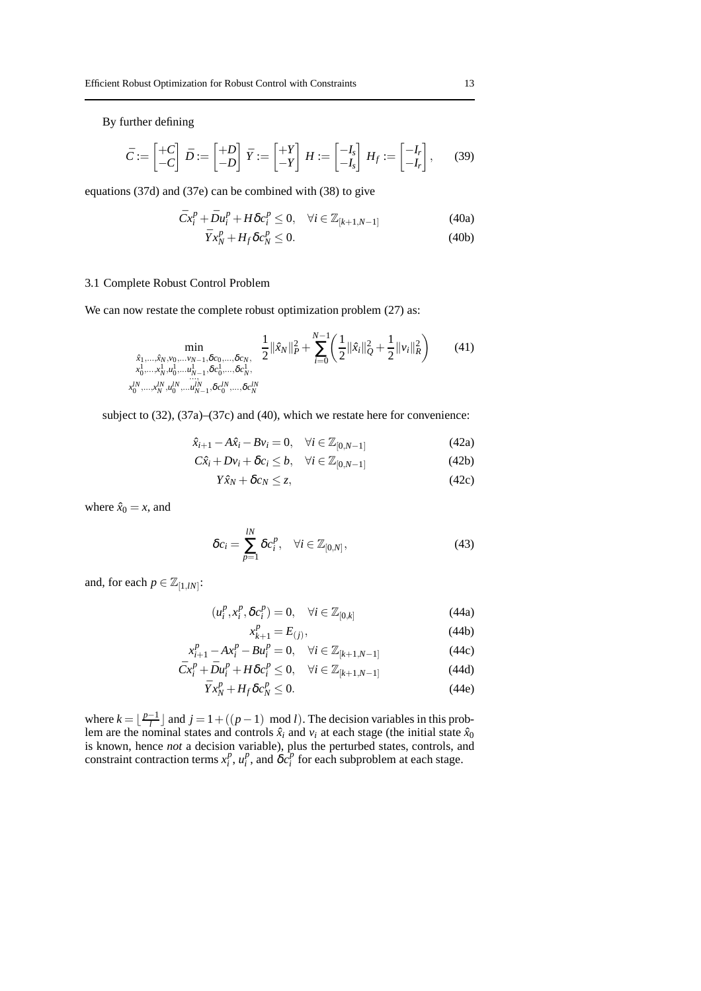By further defining

$$
\bar{C} := \begin{bmatrix} +C \\ -C \end{bmatrix} \bar{D} := \begin{bmatrix} +D \\ -D \end{bmatrix} \bar{Y} := \begin{bmatrix} +Y \\ -Y \end{bmatrix} H := \begin{bmatrix} -I_s \\ -I_s \end{bmatrix} H_f := \begin{bmatrix} -I_r \\ -I_r \end{bmatrix}, \qquad (39)
$$

equations (37d) and (37e) can be combined with (38) to give

$$
\bar{C}x_i^p + \bar{D}u_i^p + H\delta c_i^p \le 0, \quad \forall i \in \mathbb{Z}_{[k+1,N-1]} \tag{40a}
$$

$$
\bar{Y}x_N^p + H_f \delta c_N^p \le 0. \tag{40b}
$$

#### 3.1 Complete Robust Control Problem

We can now restate the complete robust optimization problem  $(27)$  as:

$$
\min_{\substack{\hat{x}_1,\ldots,\hat{x}_N,\nu_0,\ldots\nu_{N-1},\delta c_0,\ldots,\delta c_N,\\x_0^1,\ldots,x_N^1,u_0^1,\ldots,u_{N-1}^1,\delta c_0^1,\ldots,\delta c_N^1,\\ \ldots\\x_0^{1N},\ldots,x_N^N,u_0^{1N},\ldots,u_{N-1}^N,\delta c_0^{1N},\ldots,\delta c_N^{1N}}}\n\frac{1}{2}\|\hat{x}_N\|_P^2 + \sum_{i=0}^{N-1} \left(\frac{1}{2}\|\hat{x}_i\|_Q^2 + \frac{1}{2}\|v_i\|_R^2\right)\n\tag{41}
$$

subject to (32), (37a)–(37c) and (40), which we restate here for convenience:

$$
\hat{x}_{i+1} - A\hat{x}_i - Bv_i = 0, \quad \forall i \in \mathbb{Z}_{[0,N-1]}
$$
 (42a)

$$
C\hat{x}_i + Dv_i + \delta c_i \leq b, \quad \forall i \in \mathbb{Z}_{[0,N-1]}
$$
 (42b)

$$
Y\hat{x}_N + \delta c_N \le z,\tag{42c}
$$

where  $\hat{x}_0 = x$ , and

$$
\delta c_i = \sum_{p=1}^{lN} \delta c_i^p, \quad \forall i \in \mathbb{Z}_{[0,N]}, \tag{43}
$$

and, for each  $p \in \mathbb{Z}_{[1,lN]}$ :

$$
(u_i^p, x_i^p, \delta c_i^p) = 0, \quad \forall i \in \mathbb{Z}_{[0,k]}
$$
\n
$$
(44a)
$$

$$
x_{k+1}^p = E_{(j)},
$$
\n(44b)

$$
x_{i+1}^p - Ax_i^p - Bu_i^p = 0, \quad \forall i \in \mathbb{Z}_{[k+1, N-1]}
$$
 (44c)

$$
\bar{C}x_i^p + \bar{D}u_i^p + H\delta c_i^p \le 0, \quad \forall i \in \mathbb{Z}_{[k+1,N-1]} \tag{44d}
$$

$$
\bar{Y}x_N^p + H_f \delta c_N^p \le 0. \tag{44e}
$$

where  $k = \lfloor \frac{p-1}{l} \rfloor$  and  $j = 1 + ((p-1) \mod l)$ . The decision variables in this problem are the nominal states and controls  $\hat{x}_i$  and  $v_i$  at each stage (the initial state  $\hat{x}_0$ is known, hence *not* a decision variable), plus the perturbed states, controls, and constraint contraction terms  $x_i^p$  $\frac{p}{i}$ ,  $u_i^p$  $\sum_{i}^{p}$ , and  $\delta c_i^P$  $i<sup>p</sup>$  for each subproblem at each stage.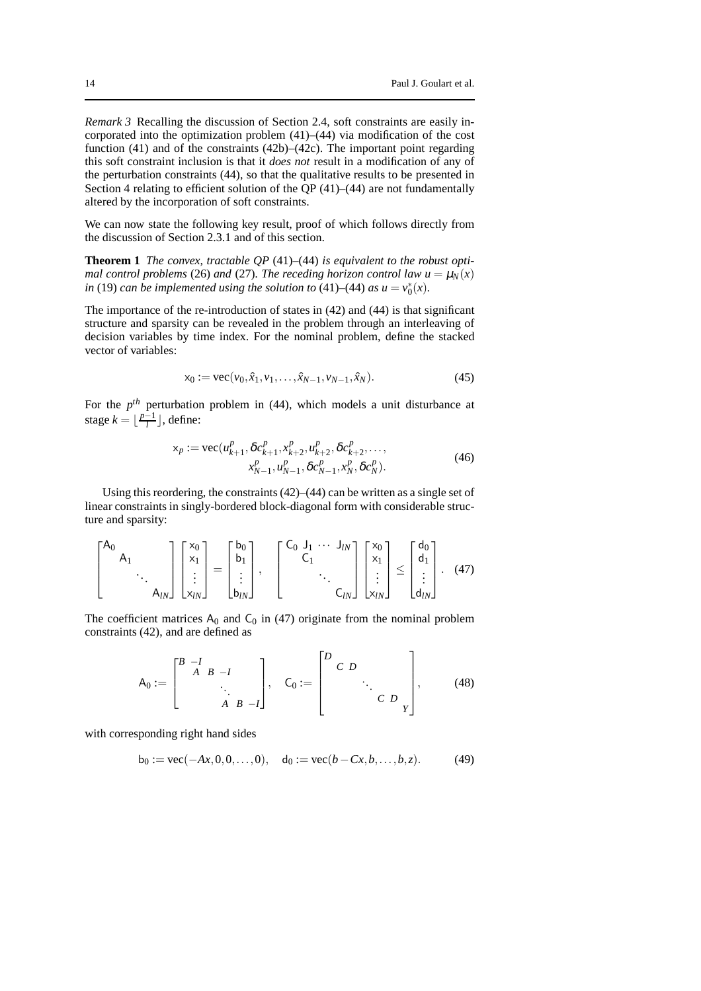*Remark 3* Recalling the discussion of Section 2.4, soft constraints are easily incorporated into the optimization problem (41)–(44) via modification of the cost function (41) and of the constraints (42b)–(42c). The important point regarding this soft constraint inclusion is that it *does not* result in a modification of any of the perturbation constraints (44), so that the qualitative results to be presented in Section 4 relating to efficient solution of the QP  $(41)$ – $(44)$  are not fundamentally altered by the incorporation of soft constraints.

We can now state the following key result, proof of which follows directly from the discussion of Section 2.3.1 and of this section.

**Theorem 1** *The convex, tractable QP* (41)*–*(44) *is equivalent to the robust optimal control problems* (26) *and* (27)*. The receding horizon control law*  $u = \mu_N(x)$ *in* (19) *can be implemented using the solution to* (41)–(44) *as*  $u = v_0^*(x)$ *.* 

The importance of the re-introduction of states in (42) and (44) is that significant structure and sparsity can be revealed in the problem through an interleaving of decision variables by time index. For the nominal problem, define the stacked vector of variables:

$$
x_0 := \text{vec}(v_0, \hat{x}_1, v_1, \dots, \hat{x}_{N-1}, v_{N-1}, \hat{x}_N). \tag{45}
$$

For the  $p^{th}$  perturbation problem in (44), which models a unit disturbance at stage  $k = \lfloor \frac{p-1}{l} \rfloor$ , define:

$$
\mathbf{x}_p := \text{vec}(u_{k+1}^p, \delta c_{k+1}^p, x_{k+2}^p, u_{k+2}^p, \delta c_{k+2}^p, \dots, x_{N-1}^p, u_{N-1}^p, \delta c_{N-1}^p, x_N^p, \delta c_N^p).
$$
\n(46)

Using this reordering, the constraints (42)–(44) can be written as a single set of linear constraints in singly-bordered block-diagonal form with considerable structure and sparsity:

$$
\begin{bmatrix} A_0 & & \\ & A_1 & \\ & & \ddots & \\ & & & A_{lN} \end{bmatrix} \begin{bmatrix} x_0 \\ x_1 \\ \vdots \\ x_{lN} \end{bmatrix} = \begin{bmatrix} b_0 \\ b_1 \\ \vdots \\ b_{lN} \end{bmatrix}, \quad \begin{bmatrix} C_0 & J_1 & \cdots & J_{lN} \\ & C_1 & \\ & & \ddots & \\ & & & C_{lN} \end{bmatrix} \begin{bmatrix} x_0 \\ x_1 \\ \vdots \\ x_{lN} \end{bmatrix} \leq \begin{bmatrix} d_0 \\ d_1 \\ \vdots \\ d_{lN} \end{bmatrix}.
$$
 (47)

The coefficient matrices  $A_0$  and  $C_0$  in (47) originate from the nominal problem constraints (42), and are defined as

$$
A_0 := \begin{bmatrix} B & -I & & \\ & A & B & -I & \\ & & \ddots & \\ & & & A & B & -I \end{bmatrix}, \quad C_0 := \begin{bmatrix} D & & & \\ & C & D & & \\ & & \ddots & \\ & & & C & D & \\ & & & & Y \end{bmatrix}, \tag{48}
$$

with corresponding right hand sides

$$
b_0 := \text{vec}(-Ax, 0, 0, \dots, 0), \quad d_0 := \text{vec}(b - Cx, b, \dots, b, z). \tag{49}
$$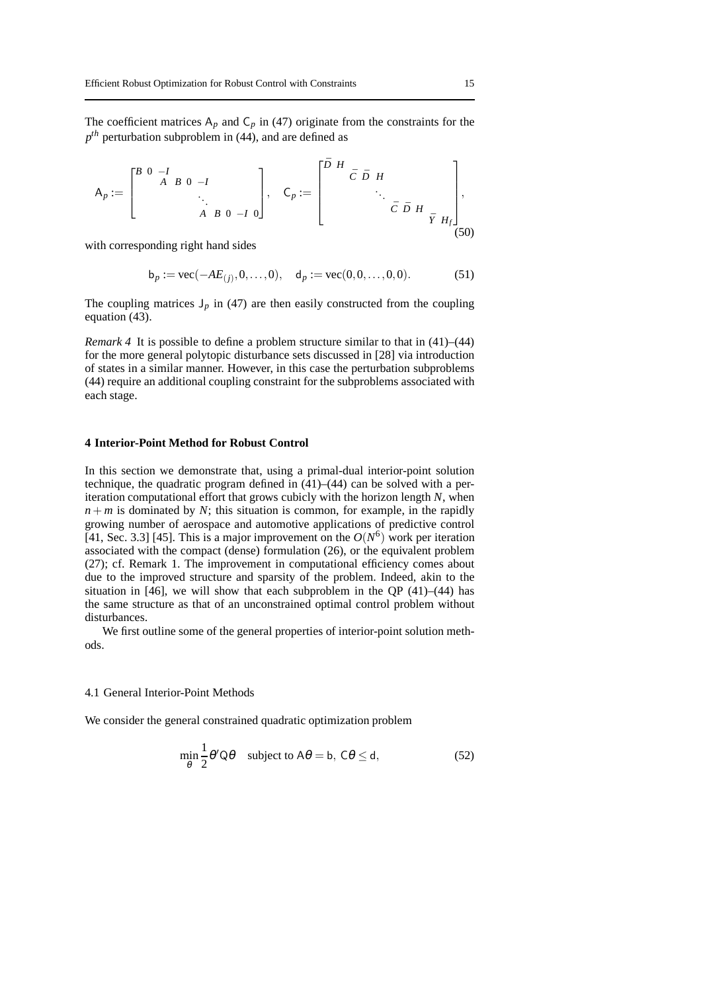The coefficient matrices  $A_p$  and  $C_p$  in (47) originate from the constraints for the *p th* perturbation subproblem in (44), and are defined as

$$
A_p := \begin{bmatrix} B & 0 & -I & & & \\ & A & B & 0 & -I & \\ & & & \ddots & & \\ & & & & A & B & 0 & -I & 0 \end{bmatrix}, \quad C_p := \begin{bmatrix} \bar{D} & H & & & & \\ & \bar{C} & \bar{D} & H & & \\ & & \ddots & & & \\ & & & & \bar{C} & \bar{D} & H & \\ & & & & & \bar{Y} & H_f \end{bmatrix},
$$
(50)

with corresponding right hand sides

$$
b_p := vec(-AE_{(j)}, 0, ..., 0), d_p := vec(0, 0, ..., 0, 0).
$$
 (51)

The coupling matrices  $J_p$  in (47) are then easily constructed from the coupling equation (43).

*Remark 4* It is possible to define a problem structure similar to that in (41)–(44) for the more general polytopic disturbance sets discussed in [28] via introduction of states in a similar manner. However, in this case the perturbation subproblems (44) require an additional coupling constraint for the subproblems associated with each stage.

#### **4 Interior-Point Method for Robust Control**

In this section we demonstrate that, using a primal-dual interior-point solution technique, the quadratic program defined in (41)–(44) can be solved with a periteration computational effort that grows cubicly with the horizon length *N*, when  $n + m$  is dominated by *N*; this situation is common, for example, in the rapidly growing number of aerospace and automotive applications of predictive control [41, Sec. 3.3] [45]. This is a major improvement on the  $O(N^6)$  work per iteration associated with the compact (dense) formulation (26), or the equivalent problem (27); cf. Remark 1. The improvement in computational efficiency comes about due to the improved structure and sparsity of the problem. Indeed, akin to the situation in [46], we will show that each subproblem in the OP  $(41)$ – $(44)$  has the same structure as that of an unconstrained optimal control problem without disturbances.

We first outline some of the general properties of interior-point solution methods.

#### 4.1 General Interior-Point Methods

We consider the general constrained quadratic optimization problem

$$
\min_{\theta} \frac{1}{2} \theta' Q \theta \quad \text{subject to } A\theta = b, \ C\theta \le d,
$$
 (52)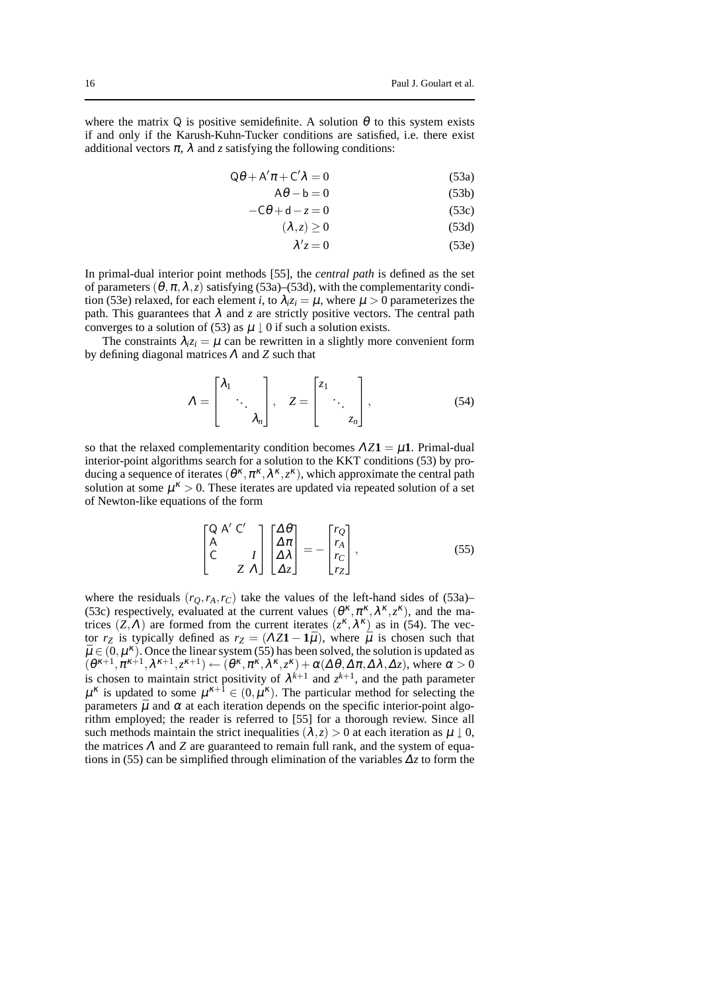where the matrix Q is positive semidefinite. A solution  $\theta$  to this system exists if and only if the Karush-Kuhn-Tucker conditions are satisfied, i.e. there exist additional vectors  $\pi$ ,  $\lambda$  and *z* satisfying the following conditions:

$$
Q\theta + A'\pi + C'\lambda = 0\tag{53a}
$$

$$
A\theta - b = 0 \tag{53b}
$$

$$
-C\theta + d - z = 0 \tag{53c}
$$

$$
(\lambda, z) \ge 0 \tag{53d}
$$

$$
\lambda' z = 0 \tag{53e}
$$

In primal-dual interior point methods [55], the *central path* is defined as the set of parameters  $(\theta, \pi, \lambda, z)$  satisfying (53a)–(53d), with the complementarity condition (53e) relaxed, for each element *i*, to  $\lambda_i z_i = \mu$ , where  $\mu > 0$  parameterizes the path. This guarantees that  $\lambda$  and  $\zeta$  are strictly positive vectors. The central path converges to a solution of (53) as  $\mu \downarrow 0$  if such a solution exists.

The constraints  $\lambda_i z_i = \mu$  can be rewritten in a slightly more convenient form by defining diagonal matrices <sup>Λ</sup> and *Z* such that

$$
\Lambda = \begin{bmatrix} \lambda_1 & & \\ & \ddots & \\ & & \lambda_n \end{bmatrix}, \quad Z = \begin{bmatrix} z_1 & & \\ & \ddots & \\ & & z_n \end{bmatrix}, \tag{54}
$$

so that the relaxed complementarity condition becomes  $\Lambda Z\mathbf{1} = \mu \mathbf{1}$ . Primal-dual interior-point algorithms search for a solution to the KKT conditions (53) by producing a sequence of iterates  $(\theta^k, \pi^k, \lambda^k, z^k)$ , which approximate the central path solution at some  $\mu^k > 0$ . These iterates are updated via repeated solution of a set of Newton-like equations of the form

$$
\begin{bmatrix} Q & A' & C' \\ A & & & \\ C & & I \\ & & Z & A \end{bmatrix} \begin{bmatrix} \Delta \theta \\ \Delta \pi \\ \Delta \lambda \\ \Delta z \end{bmatrix} = - \begin{bmatrix} r_Q \\ r_A \\ r_C \\ r_Z \end{bmatrix},
$$
(55)

where the residuals  $(r_O, r_A, r_C)$  take the values of the left-hand sides of (53a)– (53c) respectively, evaluated at the current values  $(\theta^k, \pi^k, \lambda^k, z^k)$ , and the matrices  $(Z, \Lambda)$  are formed from the current iterates  $(z^{\kappa}, \lambda^{\kappa})$  as in (54). The vector  $r_Z$  is typically defined as  $r_Z = (\Lambda Z \mathbf{1} - \mathbf{1}\bar{\mu})$ , where  $\bar{\mu}$  is chosen such that  $\bar{\mu} \in (0, \mu^{\kappa})$ . Once the linear system (55) has been solved, the solution is updated as  $(\theta^{k+1}, \pi^{k+1}, \lambda^{k+1}, z^{k+1}) \leftarrow (\theta^k, \pi^k, \lambda^k, z^k) + \alpha(\Delta \theta, \Delta \pi, \Delta \lambda, \Delta z)$ , where  $\alpha > 0$ is chosen to maintain strict positivity of  $\lambda^{k+1}$  and  $z^{k+1}$ , and the path parameter  $\mu^k$  is updated to some  $\mu^{k+1} \in (0, \mu^k)$ . The particular method for selecting the parameters  $\bar{\mu}$  and  $\alpha$  at each iteration depends on the specific interior-point algorithm employed; the reader is referred to [55] for a thorough review. Since all such methods maintain the strict inequalities  $(\lambda, z) > 0$  at each iteration as  $\mu \downarrow 0$ , the matrices  $\Lambda$  and  $\Lambda$  are guaranteed to remain full rank, and the system of equations in (55) can be simplified through elimination of the variables <sup>∆</sup>*z* to form the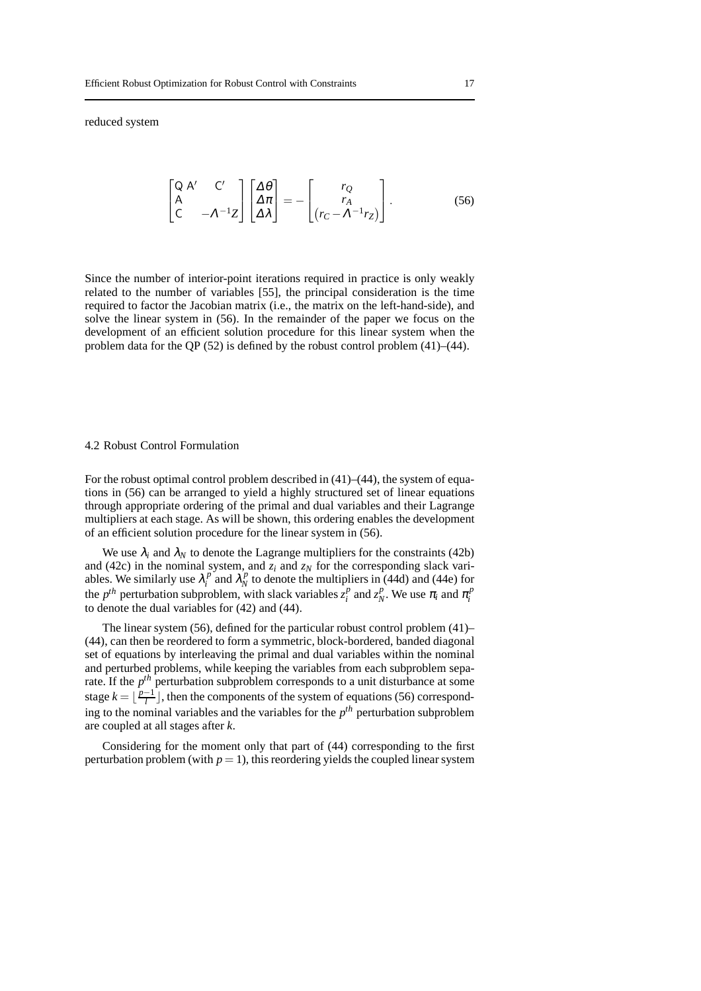reduced system

$$
\begin{bmatrix} Q & A' & C' \\ A & & \\ C & -\Lambda^{-1}Z \end{bmatrix} \begin{bmatrix} \Lambda \theta \\ \Lambda \pi \\ \Lambda \lambda \end{bmatrix} = - \begin{bmatrix} r_Q \\ r_A \\ (r_C - \Lambda^{-1}r_Z) \end{bmatrix}.
$$
 (56)

Since the number of interior-point iterations required in practice is only weakly related to the number of variables [55], the principal consideration is the time required to factor the Jacobian matrix (i.e., the matrix on the left-hand-side), and solve the linear system in (56). In the remainder of the paper we focus on the development of an efficient solution procedure for this linear system when the problem data for the QP  $(52)$  is defined by the robust control problem  $(41)$ – $(44)$ .

#### 4.2 Robust Control Formulation

For the robust optimal control problem described in (41)–(44), the system of equations in (56) can be arranged to yield a highly structured set of linear equations through appropriate ordering of the primal and dual variables and their Lagrange multipliers at each stage. As will be shown, this ordering enables the development of an efficient solution procedure for the linear system in (56).

We use  $\lambda_i$  and  $\lambda_N$  to denote the Lagrange multipliers for the constraints (42b) and (42c) in the nominal system, and  $z_i$  and  $z_N$  for the corresponding slack variables. We similarly use  $\lambda_i^p$  $\int_i^p$  and  $\lambda_N^{\prime p}$  $N<sub>N</sub><sup>p</sup>$  to denote the multipliers in (44d) and (44e) for the  $p^{th}$  perturbation subproblem, with slack variables  $z_i^p$  $\int_i^p$  and  $z_N^p$ *P*<sub>*N*</sub>. We use  $\pi$ <sub>*i*</sub> and  $\pi$ <sup>*p*</sup></sup><sup>*n*</sup><sub>*i*</sub> *i* to denote the dual variables for (42) and (44).

The linear system (56), defined for the particular robust control problem (41)– (44), can then be reordered to form a symmetric, block-bordered, banded diagonal set of equations by interleaving the primal and dual variables within the nominal and perturbed problems, while keeping the variables from each subproblem separate. If the  $p^{th}$  perturbation subproblem corresponds to a unit disturbance at some stage  $k = \lfloor \frac{p-1}{l} \rfloor$ , then the components of the system of equations (56) corresponding to the nominal variables and the variables for the *p th* perturbation subproblem are coupled at all stages after *k*.

Considering for the moment only that part of (44) corresponding to the first perturbation problem (with  $p = 1$ ), this reordering yields the coupled linear system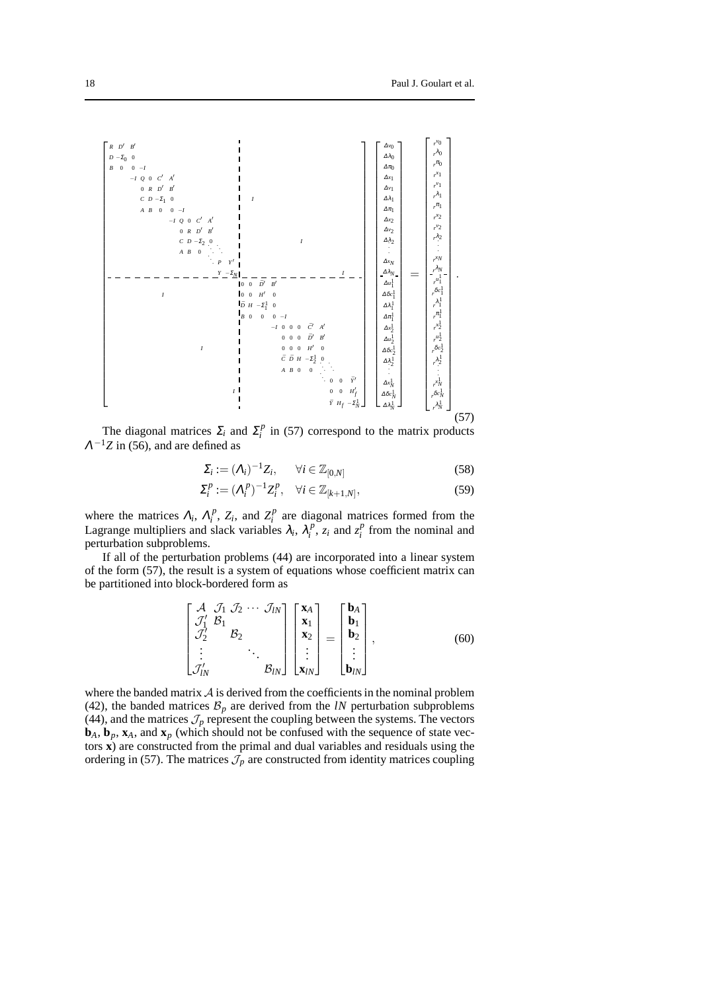

The diagonal matrices  $\Sigma_i$  and  $\Sigma_i^p$  $i_i^p$  in (57) correspond to the matrix products  $\Lambda^{-1}Z$  in (56), and are defined as

$$
\Sigma_i := (\Lambda_i)^{-1} Z_i, \qquad \forall i \in \mathbb{Z}_{[0,N]} \tag{58}
$$

$$
\Sigma_i^p := (\Lambda_i^p)^{-1} Z_i^p, \quad \forall i \in \mathbb{Z}_{[k+1,N]},
$$
\n
$$
(59)
$$

where the matrices  $\Lambda_i$ ,  $\Lambda_i^p$  $Z_i^p$ ,  $Z_i$ , and  $Z_i^p$  $i$ <sup>*p*</sup> are diagonal matrices formed from the Lagrange multipliers and slack variables  $\lambda_i$ ,  $\lambda_i^p$  $\sum_{i}^{p} z_i$  and  $z_i^p$  $i$ <sup>*p*</sup> from the nominal and perturbation subproblems.

If all of the perturbation problems (44) are incorporated into a linear system of the form (57), the result is a system of equations whose coefficient matrix can be partitioned into block-bordered form as

$$
\begin{bmatrix}\n\mathcal{A} & \mathcal{J}_1 & \mathcal{J}_2 & \cdots & \mathcal{J}_{lN} \\
\mathcal{J}_1' & \mathcal{B}_1 & & & \\
\mathcal{J}_2' & & \mathcal{B}_2 & & \\
\vdots & & & \ddots & \\
\mathcal{J}_{lN}' & & & & \mathcal{B}_{lN}\n\end{bmatrix}\n\begin{bmatrix}\n\mathbf{x}_A \\
\mathbf{x}_1 \\
\mathbf{x}_2 \\
\vdots \\
\mathbf{x}_{lN}\n\end{bmatrix} =\n\begin{bmatrix}\n\mathbf{b}_A \\
\mathbf{b}_1 \\
\mathbf{b}_2 \\
\vdots \\
\mathbf{b}_{lN}\n\end{bmatrix},
$$
\n(60)

where the banded matrix  $A$  is derived from the coefficients in the nominal problem (42), the banded matrices  $B_p$  are derived from the *lN* perturbation subproblems (44), and the matrices  $\mathcal{J}_p$  represent the coupling between the systems. The vectors  $$ tors **x**) are constructed from the primal and dual variables and residuals using the ordering in (57). The matrices  $\mathcal{J}_p$  are constructed from identity matrices coupling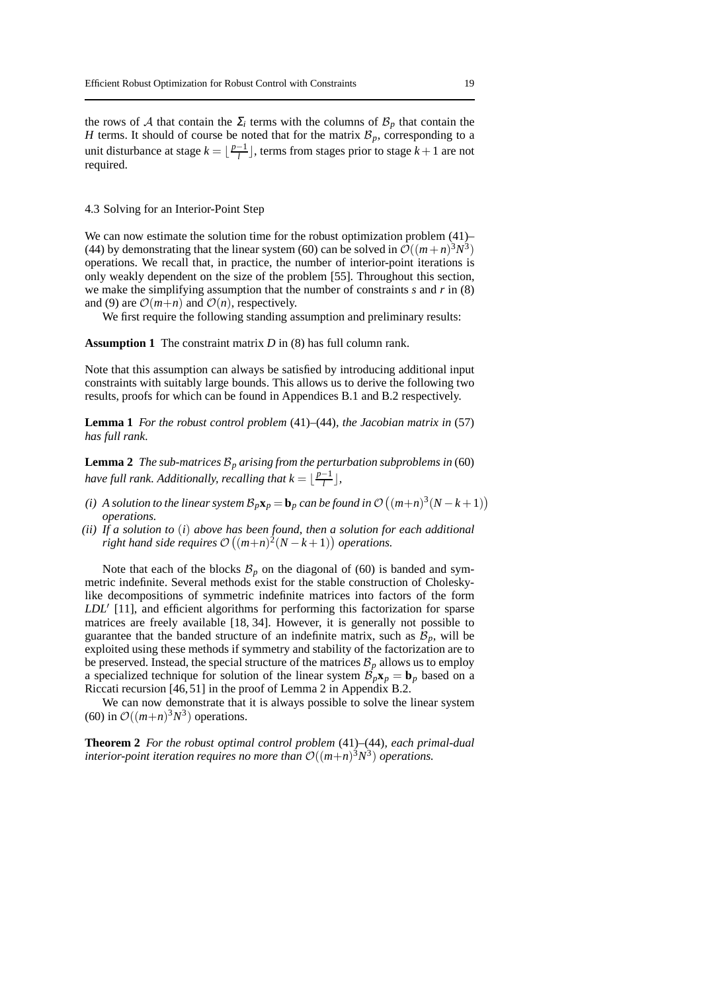the rows of A that contain the  $\Sigma_i$  terms with the columns of  $\mathcal{B}_p$  that contain the *H* terms. It should of course be noted that for the matrix  $\mathcal{B}_p$ , corresponding to a unit disturbance at stage  $k = \lfloor \frac{p-1}{l} \rfloor$ , terms from stages prior to stage  $k+1$  are not required.

#### 4.3 Solving for an Interior-Point Step

We can now estimate the solution time for the robust optimization problem  $(41)$ – (44) by demonstrating that the linear system (60) can be solved in  $\mathcal{O}((m+n)^3N^3)$ operations. We recall that, in practice, the number of interior-point iterations is only weakly dependent on the size of the problem [55]. Throughout this section, we make the simplifying assumption that the number of constraints *s* and *r* in (8) and (9) are  $\mathcal{O}(m+n)$  and  $\mathcal{O}(n)$ , respectively.

We first require the following standing assumption and preliminary results:

#### **Assumption 1** The constraint matrix *D* in (8) has full column rank.

Note that this assumption can always be satisfied by introducing additional input constraints with suitably large bounds. This allows us to derive the following two results, proofs for which can be found in Appendices B.1 and B.2 respectively.

**Lemma 1** *For the robust control problem* (41)*–*(44)*, the Jacobian matrix in* (57) *has full rank.*

**Lemma 2** *The sub-matrices*  $\mathcal{B}_p$  *arising from the perturbation subproblems in* (60) *have full rank. Additionally, recalling that*  $k = \lfloor \frac{p-1}{l} \rfloor$ *,* 

- *(i) A solution to the linear system*  $\mathcal{B}_p \mathbf{x}_p = \mathbf{b}_p$  *can be found in*  $\mathcal{O}\left((m+n)^3(N-k+1)\right)$ *operations.*
- *(ii) If a solution to* (*i*) *above has been found, then a solution for each additional right hand side requires*  $\mathcal{O}((m+n)^2(N-k+1))$  *operations.*

Note that each of the blocks  $\mathcal{B}_p$  on the diagonal of (60) is banded and symmetric indefinite. Several methods exist for the stable construction of Choleskylike decompositions of symmetric indefinite matrices into factors of the form *LDL*′ [11], and efficient algorithms for performing this factorization for sparse matrices are freely available [18, 34]. However, it is generally not possible to guarantee that the banded structure of an indefinite matrix, such as  $\mathcal{B}_p$ , will be exploited using these methods if symmetry and stability of the factorization are to be preserved. Instead, the special structure of the matrices  $B_p$  allows us to employ a specialized technique for solution of the linear system  $\mathcal{B}_p\mathbf{x}_p = \mathbf{b}_p$  based on a Riccati recursion [46, 51] in the proof of Lemma 2 in Appendix B.2.

We can now demonstrate that it is always possible to solve the linear system (60) in  $\mathcal{O}((m+n)^3N^3)$  operations.

**Theorem 2** *For the robust optimal control problem* (41)*–*(44)*, each primal-dual interior-point iteration requires no more than*  $\mathcal{O}((m+n)^3N^3)$  *operations.*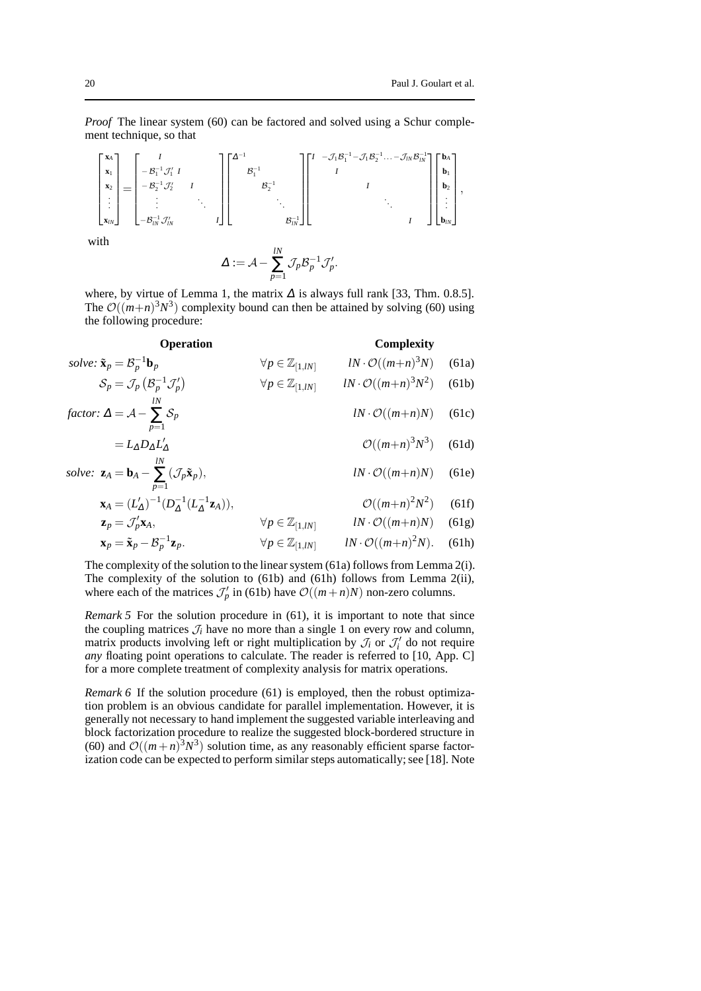*Proof* The linear system (60) can be factored and solved using a Schur complement technique, so that

$$
\begin{bmatrix} \mathbf{x}_{A} \\ \mathbf{x}_{1} \\ \mathbf{x}_{2} \\ \vdots \\ \mathbf{x}_{N} \end{bmatrix} = \begin{bmatrix} I \\ -B_{1}^{-1} \mathcal{J}_{1}' & I \\ -B_{2}^{-1} \mathcal{J}_{2}' & I \\ \vdots & \ddots & \vdots \\ -B_{N}^{-1} \mathcal{J}_{N}' & I \end{bmatrix} \begin{bmatrix} \Delta^{-1} \\ B_{1}^{-1} \\ \vdots \\ \mathbf{x}_{N}^{-1} \end{bmatrix} \begin{bmatrix} I & -\mathcal{J}_{1} B_{1}^{-1} - \mathcal{J}_{1} B_{2}^{-1} \cdots - \mathcal{J}_{N} B_{N}^{-1} \\ I & I \\ \vdots & \ddots & \vdots \\ \mathbf{x}_{N} \end{bmatrix} \begin{bmatrix} \mathbf{b}_{A} \\ \mathbf{b}_{1} \\ \vdots \\ \mathbf{b}_{N} \end{bmatrix},
$$

with

$$
\Delta := \mathcal{A} - \sum_{p=1}^{lN} \mathcal{J}_p \mathcal{B}_p^{-1} \mathcal{J}_p'.
$$

where, by virtue of Lemma 1, the matrix  $\Delta$  is always full rank [33, Thm. 0.8.5]. The  $\mathcal{O}((m+n)^3N^3)$  complexity bound can then be attained by solving (60) using the following procedure:

#### **Operation Complexity**

|       | $lN \cdot \mathcal{O}((m+n)^3N)$ (61a) | $\forall p \in \mathbb{Z}_{[1,lN]}$ | solve: $\tilde{\mathbf{x}}_p = \mathcal{B}_p^{-1} \mathbf{b}_p$                            |
|-------|----------------------------------------|-------------------------------------|--------------------------------------------------------------------------------------------|
| (61b) | $lN \cdot \mathcal{O}((m+n)^3N^2)$     | $\forall p \in \mathbb{Z}_{[1,lN]}$ | $S_p = \mathcal{J}_p(\mathcal{B}_p^{-1}\mathcal{J}'_p)$                                    |
|       | $lN \cdot \mathcal{O}((m+n)N)$ (61c)   |                                     | factor: $\Delta = \mathcal{A} - \sum_{i=1}^{N} \mathcal{S}_p$<br>$n=1$                     |
|       | $\mathcal{O}((m+n)^3N^3)$ (61d)        |                                     | $=L_{\Delta}D_{\Delta}L'_{\Delta}$                                                         |
|       | $lN \cdot \mathcal{O}((m+n)N)$ (61e)   |                                     | solve: $\mathbf{z}_A = \mathbf{b}_A - \sum (\mathcal{J}_p \tilde{\mathbf{x}}_p),$<br>$n=1$ |

$$
\mathbf{x}_A = (L_A')^{-1} (D_A^{-1} (L_A^{-1} \mathbf{z}_A)), \qquad \mathcal{O}((m+n)^2 N^2) \qquad (61f)
$$

$$
\mathbf{z}_p = \mathcal{J}_p' \mathbf{x}_A, \qquad \forall p \in \mathbb{Z}_{[1,lN]} \qquad lN \cdot \mathcal{O}((m+n)N) \quad (61g)
$$

$$
\mathbf{x}_p = \tilde{\mathbf{x}}_p - \mathcal{B}_p^{-1} \mathbf{z}_p.
$$
 (61h)

The complexity of the solution to the linear system (61a) follows from Lemma 2(i). The complexity of the solution to (61b) and (61h) follows from Lemma 2(ii), where each of the matrices  $\mathcal{J}'_p$  in (61b) have  $\mathcal{O}((m+n)N)$  non-zero columns.

*Remark 5* For the solution procedure in (61), it is important to note that since the coupling matrices  $J_i$  have no more than a single 1 on every row and column, matrix products involving left or right multiplication by  $\mathcal{J}_i$  or  $\mathcal{J}'_i$  do not require *any* floating point operations to calculate. The reader is referred to [10, App. C] for a more complete treatment of complexity analysis for matrix operations.

*Remark 6* If the solution procedure (61) is employed, then the robust optimization problem is an obvious candidate for parallel implementation. However, it is generally not necessary to hand implement the suggested variable interleaving and block factorization procedure to realize the suggested block-bordered structure in (60) and  $\mathcal{O}((m+n)^3N^3)$  solution time, as any reasonably efficient sparse factorization code can be expected to perform similar steps automatically; see [18]. Note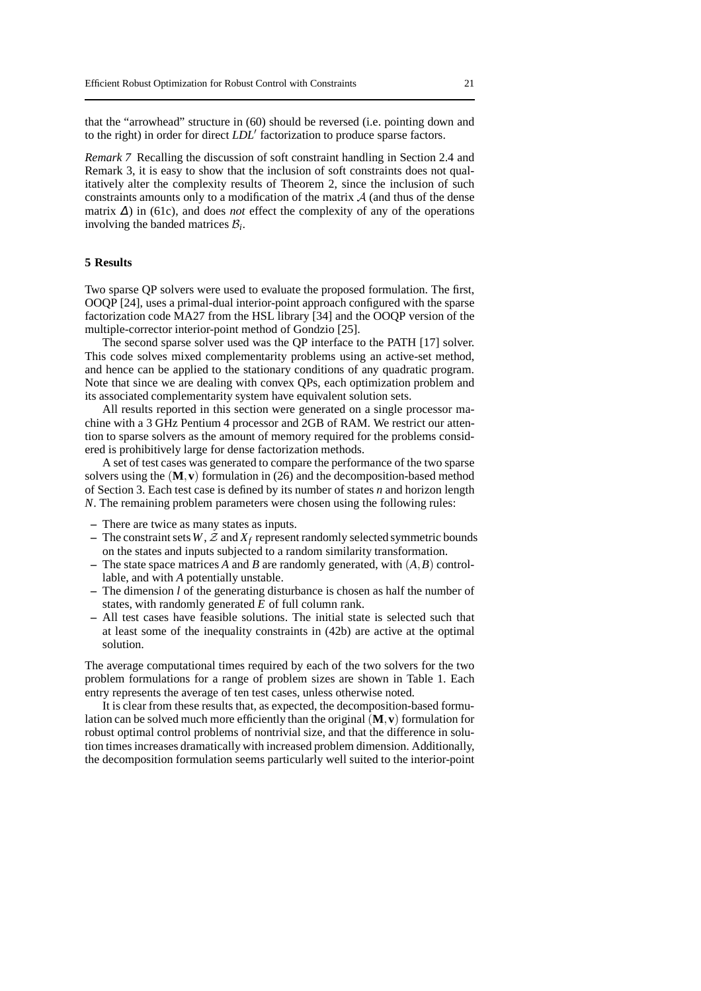that the "arrowhead" structure in (60) should be reversed (i.e. pointing down and to the right) in order for direct *LDL*′ factorization to produce sparse factors.

*Remark 7* Recalling the discussion of soft constraint handling in Section 2.4 and Remark 3, it is easy to show that the inclusion of soft constraints does not qualitatively alter the complexity results of Theorem 2, since the inclusion of such constraints amounts only to a modification of the matrix  $A$  (and thus of the dense matrix <sup>∆</sup>) in (61c), and does *not* effect the complexity of any of the operations involving the banded matrices  $B_i$ .

#### **5 Results**

Two sparse QP solvers were used to evaluate the proposed formulation. The first, OOQP [24], uses a primal-dual interior-point approach configured with the sparse factorization code MA27 from the HSL library [34] and the OOQP version of the multiple-corrector interior-point method of Gondzio [25].

The second sparse solver used was the QP interface to the PATH [17] solver. This code solves mixed complementarity problems using an active-set method, and hence can be applied to the stationary conditions of any quadratic program. Note that since we are dealing with convex QPs, each optimization problem and its associated complementarity system have equivalent solution sets.

All results reported in this section were generated on a single processor machine with a 3 GHz Pentium 4 processor and 2GB of RAM. We restrict our attention to sparse solvers as the amount of memory required for the problems considered is prohibitively large for dense factorization methods.

A set of test cases was generated to compare the performance of the two sparse solvers using the (**M**,**v**) formulation in (26) and the decomposition-based method of Section 3. Each test case is defined by its number of states *n* and horizon length *N*. The remaining problem parameters were chosen using the following rules:

- **–** There are twice as many states as inputs.
- The constraint sets  $W$ ,  $Z$  and  $X_f$  represent randomly selected symmetric bounds on the states and inputs subjected to a random similarity transformation.
- **–** The state space matrices *A* and *B* are randomly generated, with (*A*,*B*) controllable, and with *A* potentially unstable.
- **–** The dimension *l* of the generating disturbance is chosen as half the number of states, with randomly generated *E* of full column rank.
- **–** All test cases have feasible solutions. The initial state is selected such that at least some of the inequality constraints in (42b) are active at the optimal solution.

The average computational times required by each of the two solvers for the two problem formulations for a range of problem sizes are shown in Table 1. Each entry represents the average of ten test cases, unless otherwise noted.

It is clear from these results that, as expected, the decomposition-based formulation can be solved much more efficiently than the original  $(M, v)$  formulation for robust optimal control problems of nontrivial size, and that the difference in solution times increases dramatically with increased problem dimension. Additionally, the decomposition formulation seems particularly well suited to the interior-point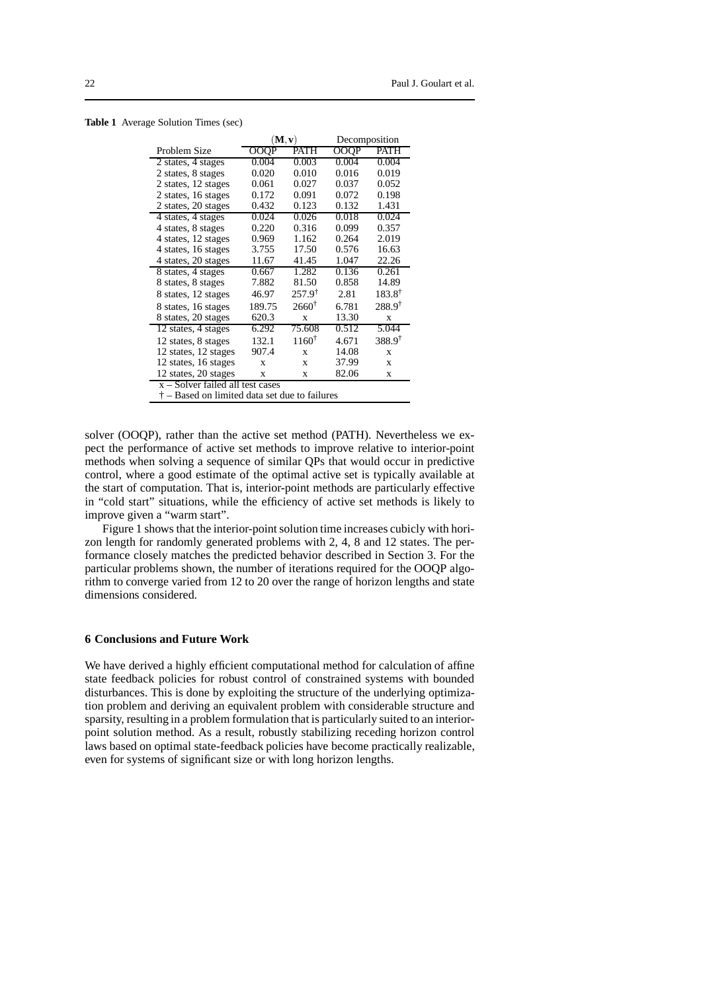**Table 1** Average Solution Times (sec)

|                                               | $(\mathbf{M}, \mathbf{v})$ |                   | Decomposition |                   |  |  |
|-----------------------------------------------|----------------------------|-------------------|---------------|-------------------|--|--|
| Problem Size                                  | OOQP                       | <b>PATH</b>       | <b>OOQP</b>   | PATH              |  |  |
| 2 states, 4 stages                            | 0.004                      | 0.003             | 0.004         | 0.004             |  |  |
| 2 states, 8 stages                            | 0.020                      | 0.010             | 0.016         | 0.019             |  |  |
| 2 states, 12 stages                           | 0.061                      | 0.027             | 0.037         | 0.052             |  |  |
| 2 states, 16 stages                           | 0.172                      | 0.091             | 0.072         | 0.198             |  |  |
| 2 states, 20 stages                           | 0.432                      | 0.123             | 0.132         | 1.431             |  |  |
| 4 states, 4 stages                            | 0.024                      | 0.026             | 0.018         | 0.024             |  |  |
| 4 states, 8 stages                            | 0.220                      | 0.316             | 0.099         | 0.357             |  |  |
| 4 states, 12 stages                           | 0.969                      | 1.162             | 0.264         | 2.019             |  |  |
| 4 states, 16 stages                           | 3.755                      | 17.50             | 0.576         | 16.63             |  |  |
| 4 states, 20 stages                           | 11.67                      | 41.45             | 1.047         | 22.26             |  |  |
| 8 states, 4 stages                            | 0.667                      | 1.282             | 0.136         | 0.261             |  |  |
| 8 states, 8 stages                            | 7.882                      | 81.50             | 0.858         | 14.89             |  |  |
| 8 states, 12 stages                           | 46.97                      | $257.9^{\dagger}$ | 2.81          | $183.8^{\dagger}$ |  |  |
| 8 states, 16 stages                           | 189.75                     | $2660^{\dagger}$  | 6.781         | $288.9^{\dagger}$ |  |  |
| 8 states, 20 stages                           | 620.3                      | $\mathbf x$       | 13.30         | $\mathbf x$       |  |  |
| 12 states, 4 stages                           | 6.292                      | 75.608            | 0.512         | 5.044             |  |  |
| 12 states, 8 stages                           | 132.1                      | $1160^{\dagger}$  | 4.671         | $388.9^{\dagger}$ |  |  |
| 12 states, 12 stages                          | 907.4                      | $\mathbf x$       | 14.08         | $\mathbf x$       |  |  |
| 12 states, 16 stages                          | X                          | X                 | 37.99         | X                 |  |  |
| 12 states, 20 stages                          | $\mathbf x$                | X                 | 82.06         | $\mathbf x$       |  |  |
| $x -$ Solver failed all test cases            |                            |                   |               |                   |  |  |
| † – Based on limited data set due to failures |                            |                   |               |                   |  |  |

solver (OOQP), rather than the active set method (PATH). Nevertheless we expect the performance of active set methods to improve relative to interior-point methods when solving a sequence of similar QPs that would occur in predictive control, where a good estimate of the optimal active set is typically available at the start of computation. That is, interior-point methods are particularly effective in "cold start" situations, while the efficiency of active set methods is likely to improve given a "warm start".

Figure 1 shows that the interior-point solution time increases cubicly with horizon length for randomly generated problems with 2, 4, 8 and 12 states. The performance closely matches the predicted behavior described in Section 3. For the particular problems shown, the number of iterations required for the OOQP algorithm to converge varied from 12 to 20 over the range of horizon lengths and state dimensions considered.

#### **6 Conclusions and Future Work**

We have derived a highly efficient computational method for calculation of affine state feedback policies for robust control of constrained systems with bounded disturbances. This is done by exploiting the structure of the underlying optimization problem and deriving an equivalent problem with considerable structure and sparsity, resulting in a problem formulation that is particularly suited to an interiorpoint solution method. As a result, robustly stabilizing receding horizon control laws based on optimal state-feedback policies have become practically realizable, even for systems of significant size or with long horizon lengths.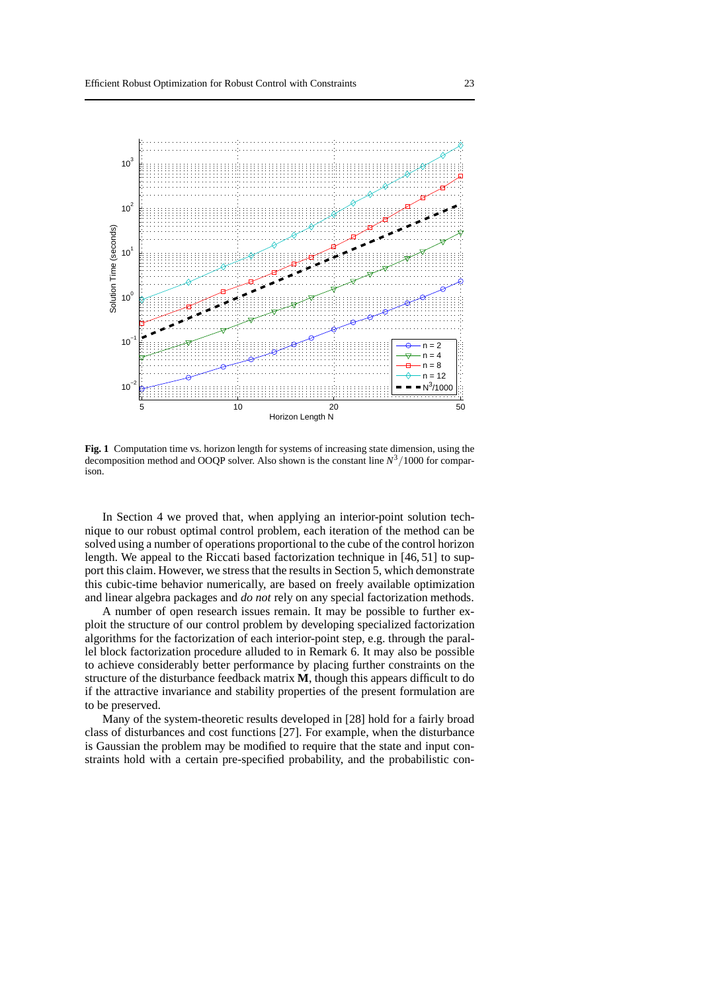

**Fig. 1** Computation time vs. horizon length for systems of increasing state dimension, using the decomposition method and OOQP solver. Also shown is the constant line *N* <sup>3</sup>/1000 for comparison.

In Section 4 we proved that, when applying an interior-point solution technique to our robust optimal control problem, each iteration of the method can be solved using a number of operations proportional to the cube of the control horizon length. We appeal to the Riccati based factorization technique in [46, 51] to support this claim. However, we stress that the results in Section 5, which demonstrate this cubic-time behavior numerically, are based on freely available optimization and linear algebra packages and *do not* rely on any special factorization methods.

A number of open research issues remain. It may be possible to further exploit the structure of our control problem by developing specialized factorization algorithms for the factorization of each interior-point step, e.g. through the parallel block factorization procedure alluded to in Remark 6. It may also be possible to achieve considerably better performance by placing further constraints on the structure of the disturbance feedback matrix **M**, though this appears difficult to do if the attractive invariance and stability properties of the present formulation are to be preserved.

Many of the system-theoretic results developed in [28] hold for a fairly broad class of disturbances and cost functions [27]. For example, when the disturbance is Gaussian the problem may be modified to require that the state and input constraints hold with a certain pre-specified probability, and the probabilistic con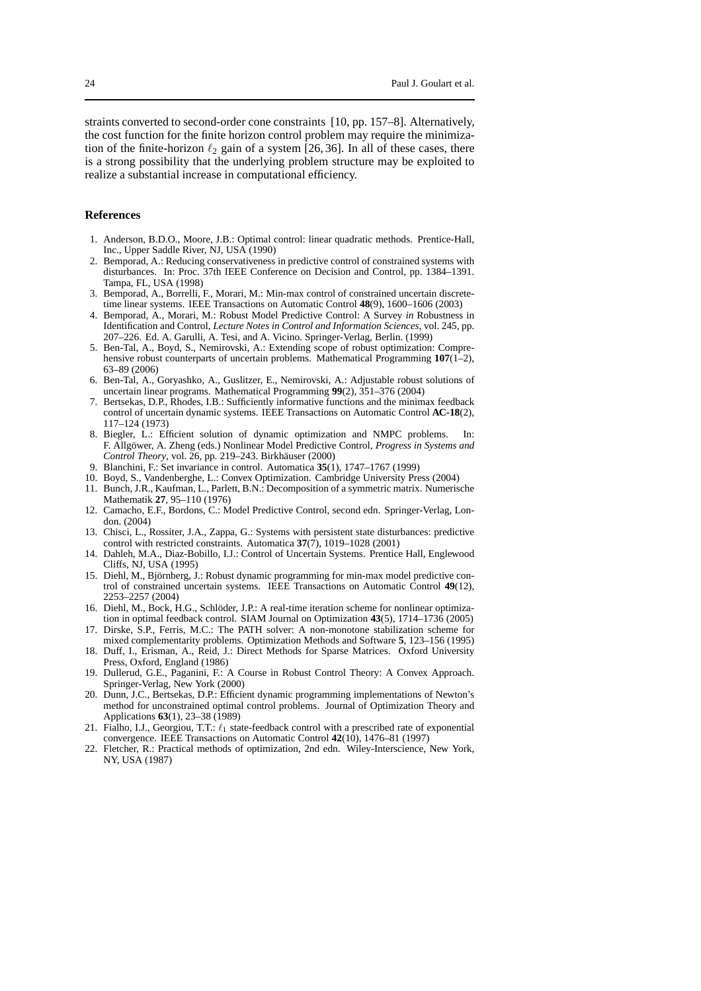straints converted to second-order cone constraints [10, pp. 157–8]. Alternatively, the cost function for the finite horizon control problem may require the minimization of the finite-horizon  $\ell_2$  gain of a system [26, 36]. In all of these cases, there is a strong possibility that the underlying problem structure may be exploited to realize a substantial increase in computational efficiency.

#### **References**

- 1. Anderson, B.D.O., Moore, J.B.: Optimal control: linear quadratic methods. Prentice-Hall, Inc., Upper Saddle River, NJ, USA (1990)
- 2. Bemporad, A.: Reducing conservativeness in predictive control of constrained systems with disturbances. In: Proc. 37th IEEE Conference on Decision and Control, pp. 1384–1391. Tampa, FL, USA (1998)
- 3. Bemporad, A., Borrelli, F., Morari, M.: Min-max control of constrained uncertain discretetime linear systems. IEEE Transactions on Automatic Control **48**(9), 1600–1606 (2003)
- 4. Bemporad, A., Morari, M.: Robust Model Predictive Control: A Survey *in* Robustness in Identification and Control, *Lecture Notes in Control and Information Sciences*, vol. 245, pp. 207–226. Ed. A. Garulli, A. Tesi, and A. Vicino. Springer-Verlag, Berlin. (1999)
- 5. Ben-Tal, A., Boyd, S., Nemirovski, A.: Extending scope of robust optimization: Comprehensive robust counterparts of uncertain problems. Mathematical Programming **107**(1–2), 63–89 (2006)
- 6. Ben-Tal, A., Goryashko, A., Guslitzer, E., Nemirovski, A.: Adjustable robust solutions of uncertain linear programs. Mathematical Programming **99**(2), 351–376 (2004)
- 7. Bertsekas, D.P., Rhodes, I.B.: Sufficiently informative functions and the minimax feedback control of uncertain dynamic systems. IEEE Transactions on Automatic Control **AC-18**(2), 117–124 (1973)
- 8. Biegler, L.: Efficient solution of dynamic optimization and NMPC problems. In: F. Allgöwer, A. Zheng (eds.) Nonlinear Model Predictive Control, *Progress in Systems and* Control Theory, vol. 26, pp. 219-243. Birkhäuser (2000)
- 9. Blanchini, F.: Set invariance in control. Automatica **35**(1), 1747–1767 (1999)
- 10. Boyd, S., Vandenberghe, L.: Convex Optimization. Cambridge University Press (2004)
- 11. Bunch, J.R., Kaufman, L., Parlett, B.N.: Decomposition of a symmetric matrix. Numerische Mathematik **27**, 95–110 (1976)
- 12. Camacho, E.F., Bordons, C.: Model Predictive Control, second edn. Springer-Verlag, London. (2004)
- 13. Chisci, L., Rossiter, J.A., Zappa, G.: Systems with persistent state disturbances: predictive control with restricted constraints. Automatica **37**(7), 1019–1028 (2001)
- 14. Dahleh, M.A., Diaz-Bobillo, I.J.: Control of Uncertain Systems. Prentice Hall, Englewood Cliffs, NJ, USA (1995)
- 15. Diehl, M., Björnberg, J.: Robust dynamic programming for min-max model predictive control of constrained uncertain systems. IEEE Transactions on Automatic Control **49**(12), 2253–2257 (2004)
- 16. Diehl, M., Bock, H.G., Schlöder, J.P.: A real-time iteration scheme for nonlinear optimization in optimal feedback control. SIAM Journal on Optimization **43**(5), 1714–1736 (2005)
- 17. Dirske, S.P., Ferris, M.C.: The PATH solver: A non-monotone stabilization scheme for mixed complementarity problems. Optimization Methods and Software **5**, 123–156 (1995)
- 18. Duff, I., Erisman, A., Reid, J.: Direct Methods for Sparse Matrices. Oxford University Press, Oxford, England (1986)
- 19. Dullerud, G.E., Paganini, F.: A Course in Robust Control Theory: A Convex Approach. Springer-Verlag, New York (2000)
- 20. Dunn, J.C., Bertsekas, D.P.: Efficient dynamic programming implementations of Newton's method for unconstrained optimal control problems. Journal of Optimization Theory and Applications **63**(1), 23–38 (1989)
- 21. Fialho, I.J., Georgiou, T.T.:  $\ell_1$  state-feedback control with a prescribed rate of exponential convergence. IEEE Transactions on Automatic Control **42**(10), 1476–81 (1997)
- 22. Fletcher, R.: Practical methods of optimization, 2nd edn. Wiley-Interscience, New York, NY, USA (1987)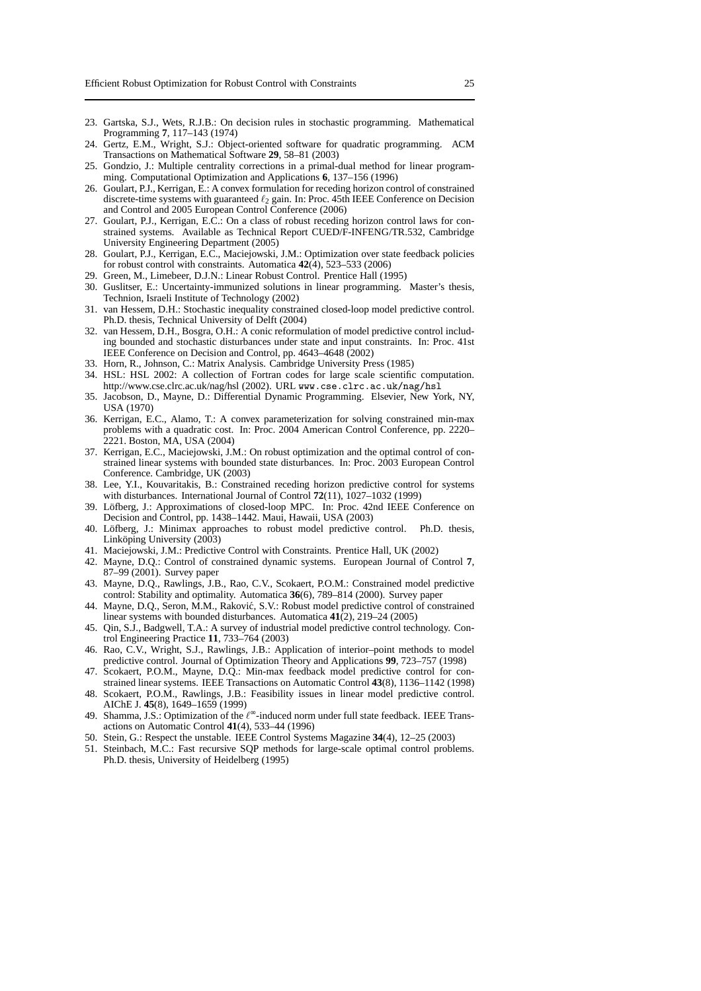- 23. Gartska, S.J., Wets, R.J.B.: On decision rules in stochastic programming. Mathematical Programming **7**, 117–143 (1974)
- 24. Gertz, E.M., Wright, S.J.: Object-oriented software for quadratic programming. ACM Transactions on Mathematical Software **29**, 58–81 (2003)
- 25. Gondzio, J.: Multiple centrality corrections in a primal-dual method for linear programming. Computational Optimization and Applications **6**, 137–156 (1996)
- 26. Goulart, P.J., Kerrigan, E.: A convex formulation for receding horizon control of constrained discrete-time systems with guaranteed  $\ell_2$  gain. In: Proc. 45th IEEE Conference on Decision and Control and 2005 European Control Conference (2006)
- 27. Goulart, P.J., Kerrigan, E.C.: On a class of robust receding horizon control laws for constrained systems. Available as Technical Report CUED/F-INFENG/TR.532, Cambridge University Engineering Department (2005)
- 28. Goulart, P.J., Kerrigan, E.C., Maciejowski, J.M.: Optimization over state feedback policies for robust control with constraints. Automatica **42**(4), 523–533 (2006)
- 29. Green, M., Limebeer, D.J.N.: Linear Robust Control. Prentice Hall (1995)
- 30. Guslitser, E.: Uncertainty-immunized solutions in linear programming. Master's thesis, Technion, Israeli Institute of Technology (2002)
- 31. van Hessem, D.H.: Stochastic inequality constrained closed-loop model predictive control. Ph.D. thesis, Technical University of Delft (2004)
- 32. van Hessem, D.H., Bosgra, O.H.: A conic reformulation of model predictive control including bounded and stochastic disturbances under state and input constraints. In: Proc. 41st IEEE Conference on Decision and Control, pp. 4643–4648 (2002)
- 33. Horn, R., Johnson, C.: Matrix Analysis. Cambridge University Press (1985)
- 34. HSL: HSL 2002: A collection of Fortran codes for large scale scientific computation. http://www.cse.clrc.ac.uk/nag/hsl (2002). URL www.cse.clrc.ac.uk/nag/hsl
- 35. Jacobson, D., Mayne, D.: Differential Dynamic Programming. Elsevier, New York, NY, USA (1970)
- 36. Kerrigan, E.C., Alamo, T.: A convex parameterization for solving constrained min-max problems with a quadratic cost. In: Proc. 2004 American Control Conference, pp. 2220– 2221. Boston, MA, USA (2004)
- 37. Kerrigan, E.C., Maciejowski, J.M.: On robust optimization and the optimal control of constrained linear systems with bounded state disturbances. In: Proc. 2003 European Control Conference. Cambridge, UK (2003)
- 38. Lee, Y.I., Kouvaritakis, B.: Constrained receding horizon predictive control for systems with disturbances. International Journal of Control **72**(11), 1027–1032 (1999)
- 39. Löfberg, J.: Approximations of closed-loop MPC. In: Proc. 42nd IEEE Conference on Decision and Control, pp. 1438–1442. Maui, Hawaii, USA (2003)
- 40. Löfberg, J.: Minimax approaches to robust model predictive control. Ph.D. thesis, Linköping University (2003)
- 41. Maciejowski, J.M.: Predictive Control with Constraints. Prentice Hall, UK (2002)
- 42. Mayne, D.Q.: Control of constrained dynamic systems. European Journal of Control **7**, 87–99 (2001). Survey paper
- 43. Mayne, D.Q., Rawlings, J.B., Rao, C.V., Scokaert, P.O.M.: Constrained model predictive control: Stability and optimality. Automatica **36**(6), 789–814 (2000). Survey paper
- 44. Mayne, D.Q., Seron, M.M., Raković, S.V.: Robust model predictive control of constrained linear systems with bounded disturbances. Automatica **41**(2), 219–24 (2005)
- 45. Qin, S.J., Badgwell, T.A.: A survey of industrial model predictive control technology. Control Engineering Practice **11**, 733–764 (2003)
- 46. Rao, C.V., Wright, S.J., Rawlings, J.B.: Application of interior–point methods to model predictive control. Journal of Optimization Theory and Applications **99**, 723–757 (1998)
- 47. Scokaert, P.O.M., Mayne, D.Q.: Min-max feedback model predictive control for constrained linear systems. IEEE Transactions on Automatic Control **43**(8), 1136–1142 (1998)
- 48. Scokaert, P.O.M., Rawlings, J.B.: Feasibility issues in linear model predictive control. AIChE J. **45**(8), 1649–1659 (1999)
- 49. Shamma, J.S.: Optimization of the  $\ell^{\infty}$ -induced norm under full state feedback. IEEE Transactions on Automatic Control **41**(4), 533–44 (1996)
- 50. Stein, G.: Respect the unstable. IEEE Control Systems Magazine **34**(4), 12–25 (2003)
- 51. Steinbach, M.C.: Fast recursive SQP methods for large-scale optimal control problems. Ph.D. thesis, University of Heidelberg (1995)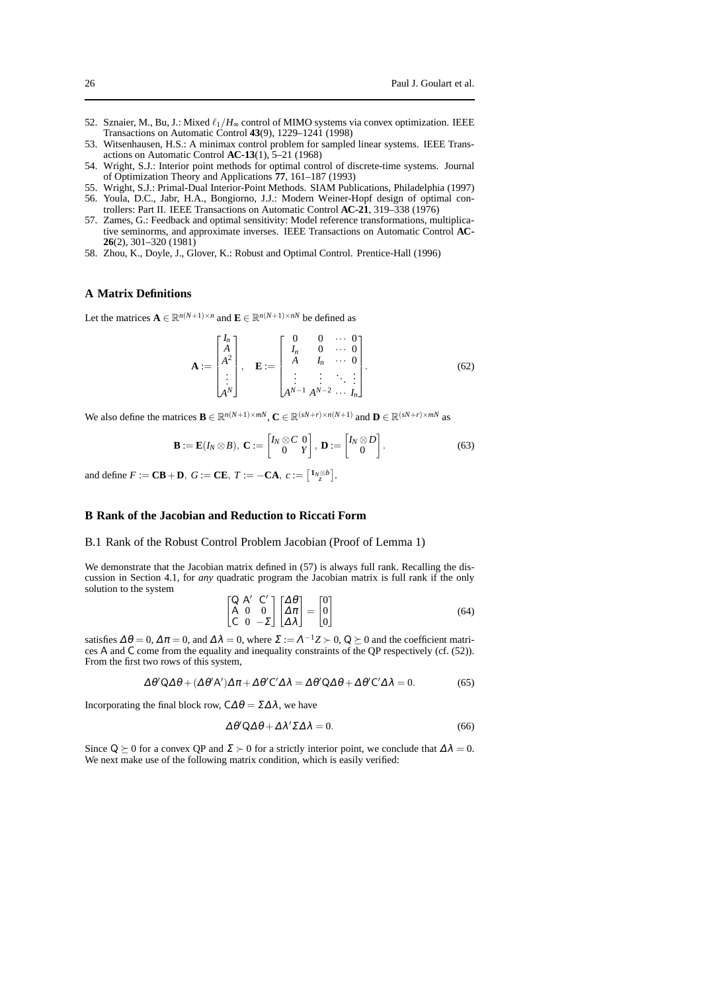- 52. Sznaier, M., Bu, J.: Mixed  $\ell_1/H_{\infty}$  control of MIMO systems via convex optimization. IEEE Transactions on Automatic Control **43**(9), 1229–1241 (1998)
- 53. Witsenhausen, H.S.: A minimax control problem for sampled linear systems. IEEE Transactions on Automatic Control **AC-13**(1), 5–21 (1968)
- 54. Wright, S.J.: Interior point methods for optimal control of discrete-time systems. Journal of Optimization Theory and Applications **77**, 161–187 (1993)
- 55. Wright, S.J.: Primal-Dual Interior-Point Methods. SIAM Publications, Philadelphia (1997)
- 56. Youla, D.C., Jabr, H.A., Bongiorno, J.J.: Modern Weiner-Hopf design of optimal controllers: Part II. IEEE Transactions on Automatic Control **AC-21**, 319–338 (1976)
- 57. Zames, G.: Feedback and optimal sensitivity: Model reference transformations, multiplicative seminorms, and approximate inverses. IEEE Transactions on Automatic Control **AC-26**(2), 301–320 (1981)
- 58. Zhou, K., Doyle, J., Glover, K.: Robust and Optimal Control. Prentice-Hall (1996)

#### **A Matrix Definitions**

Let the matrices  $\mathbf{A} \in \mathbb{R}^{n(N+1)\times n}$  and  $\mathbf{E} \in \mathbb{R}^{n(N+1)\times n}$  be defined as

$$
\mathbf{A} := \begin{bmatrix} I_n \\ A^2 \\ A^2 \\ \vdots \\ A^N \end{bmatrix}, \quad \mathbf{E} := \begin{bmatrix} 0 & 0 & \cdots & 0 \\ I_n & 0 & \cdots & 0 \\ A & I_n & \cdots & 0 \\ \vdots & \vdots & \ddots & \vdots \\ A^{N-1} & A^{N-2} & \cdots & I_n \end{bmatrix} . \tag{62}
$$

We also define the matrices  $\mathbf{B} \in \mathbb{R}^{n(N+1)\times mN}$ ,  $\mathbf{C} \in \mathbb{R}^{(sN+r)\times n(N+1)}$  and  $\mathbf{D} \in \mathbb{R}^{(sN+r)\times mN}$  as

$$
\mathbf{B} := \mathbf{E}(I_N \otimes B), \ \mathbf{C} := \begin{bmatrix} I_N \otimes C & 0 \\ 0 & Y \end{bmatrix}, \ \mathbf{D} := \begin{bmatrix} I_N \otimes D \\ 0 \end{bmatrix}.
$$
 (63)

and define  $F := \mathbf{CB} + \mathbf{D}$ ,  $G := \mathbf{CE}$ ,  $T := -\mathbf{CA}$ ,  $c := \left[\begin{matrix} 1_N \otimes b \\ z \end{matrix}\right]$ .

# **B Rank of the Jacobian and Reduction to Riccati Form**

#### B.1 Rank of the Robust Control Problem Jacobian (Proof of Lemma 1)

We demonstrate that the Jacobian matrix defined in  $(57)$  is always full rank. Recalling the discussion in Section 4.1, for *any* quadratic program the Jacobian matrix is full rank if the only solution to the system

$$
\begin{bmatrix} \mathsf{Q} & \mathsf{A}' & \mathsf{C}' \\ \mathsf{A} & 0 & 0 \\ \mathsf{C} & 0 & -\mathsf{\Sigma} \end{bmatrix} \begin{bmatrix} \Delta \theta \\ \Delta \pi \\ \Delta \lambda \end{bmatrix} = \begin{bmatrix} 0 \\ 0 \\ 0 \end{bmatrix}
$$
 (64)

satisfies  $\Delta \theta = 0$ ,  $\Delta \pi = 0$ , and  $\Delta \lambda = 0$ , where  $\Sigma := \Lambda^{-1}Z \succ 0$ ,  $Q \succeq 0$  and the coefficient matrices A and C come from the equality and inequality constraints of the QP respectively (cf. (52)). From the first two rows of this system,

$$
\Delta \theta' Q \Delta \theta + (\Delta \theta' A') \Delta \pi + \Delta \theta' C' \Delta \lambda = \Delta \theta' Q \Delta \theta + \Delta \theta' C' \Delta \lambda = 0.
$$
 (65)

Incorporating the final block row,  $C\Delta\theta = \Sigma\Delta\lambda$ , we have

$$
\Delta \theta' Q \Delta \theta + \Delta \lambda' \Sigma \Delta \lambda = 0. \tag{66}
$$

Since Q  $\succeq$  0 for a convex QP and  $\Sigma \succ 0$  for a strictly interior point, we conclude that  $\Delta \lambda = 0$ . We next make use of the following matrix condition, which is easily verified: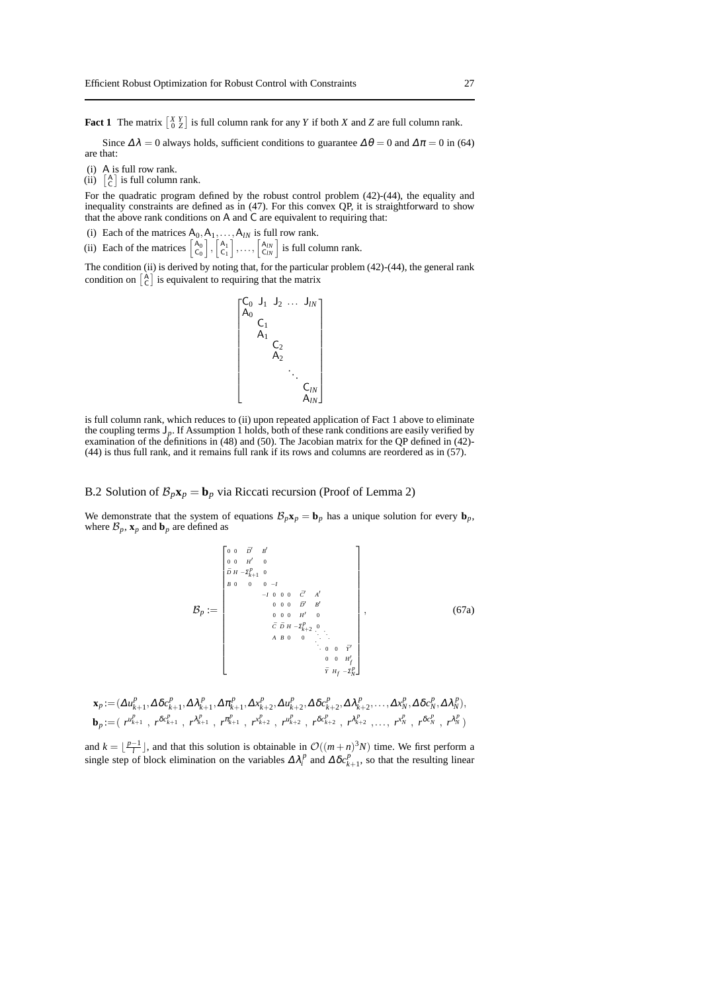**Fact 1** The matrix  $\begin{bmatrix} X & Y \\ 0 & Z \end{bmatrix}$  is full column rank for any *Y* if both *X* and *Z* are full column rank.

Since  $\Delta \lambda = 0$  always holds, sufficient conditions to guarantee  $\Delta \theta = 0$  and  $\Delta \pi = 0$  in (64) are that:

- (i) A is full row rank.
- $(ii)$   $\begin{bmatrix} A \\ C \end{bmatrix}$  is full column rank.

For the quadratic program defined by the robust control problem (42)-(44), the equality and inequality constraints are defined as in (47). For this convex QP, it is straightforward to show that the above rank conditions on A and C are equivalent to requiring that:

- (i) Each of the matrices  $A_0, A_1, \ldots, A_{lN}$  is full row rank.
- (ii) Each of the matrices  $\begin{bmatrix} A_0 \\ C_0 \end{bmatrix}$ ,  $\begin{bmatrix} A_1 \\ C_1 \end{bmatrix}$ ,...,  $\begin{bmatrix} A_N \\ C_N \end{bmatrix}$  is full column rank.

The condition (ii) is derived by noting that, for the particular problem (42)-(44), the general rank condition on  $\begin{bmatrix} A \\ C \end{bmatrix}$  is equivalent to requiring that the matrix



is full column rank, which reduces to (ii) upon repeated application of Fact 1 above to eliminate the coupling terms J*p*. If Assumption 1 holds, both of these rank conditions are easily verified by examination of the definitions in (48) and (50). The Jacobian matrix for the QP defined in (42)- (44) is thus full rank, and it remains full rank if its rows and columns are reordered as in (57).

## B.2 Solution of  $\mathcal{B}_p\mathbf{x}_p = \mathbf{b}_p$  via Riccati recursion (Proof of Lemma 2)

We demonstrate that the system of equations  $\mathcal{B}_p\mathbf{x}_p = \mathbf{b}_p$  has a unique solution for every  $\mathbf{b}_p$ , where  $\mathcal{B}_p$ ,  $\mathbf{x}_p$  and  $\mathbf{b}_p$  are defined as

$$
\mathcal{B}_{p} := \begin{bmatrix}\n0 & 0 & B' & B' \\
0 & 0 & H' & 0 \\
B & 0 & 0 & 0 & -I \\
B & 0 & 0 & 0 & -I \\
0 & 0 & 0 & 0 & B' \\
0 & 0 & 0 & H' & 0 \\
0 & 0 & 0 & H' & 0 \\
C & D & H - \Sigma_{k-2}^{p} & 0 \\
0 & 0 & 0 & \vdots \\
0 & 0 & 0 & 0 & I' \\
0 & 0 & 0 & H' \\
0 & 0 & 0 & H' \\
0 & 0 & 0 & H' \\
\end{bmatrix}, \quad (67a)
$$

$$
\mathbf{x}_{p} := (\Delta u_{k+1}^{p}, \Delta \delta c_{k+1}^{p}, \Delta \lambda_{k+1}^{p}, \Delta \pi_{k+1}^{p}, \Delta x_{k+2}^{p}, \Delta u_{k+2}^{p}, \Delta \delta c_{k+2}^{p}, \Delta \lambda_{k+2}^{p}, \dots, \Delta x_{N}^{p}, \Delta \delta c_{N}^{p}, \Delta \lambda_{N}^{p}),
$$
  
\n
$$
\mathbf{b}_{p} := (r^{\mu_{k+1}^{p}}, r^{\delta c_{k+1}^{p}}, r^{\mu_{k+1}^{p}}, r^{\mu_{k+2}^{p}}, r^{\mu_{k+2}^{p}}, r^{\delta c_{k+2}^{p}}, r^{\lambda_{k+2}^{p}}, \dots, r^{\mu_{N}^{p}}, r^{\delta c_{N}^{p}}, r^{\lambda_{N}^{p}})
$$

and  $k = \lfloor \frac{p-1}{l} \rfloor$ , and that this solution is obtainable in  $\mathcal{O}((m+n)^3N)$  time. We first perform a single step of block elimination on the variables  $\Delta \lambda_i^p$  and  $\Delta \delta c_{k+1}^p$ , so that the resulting linear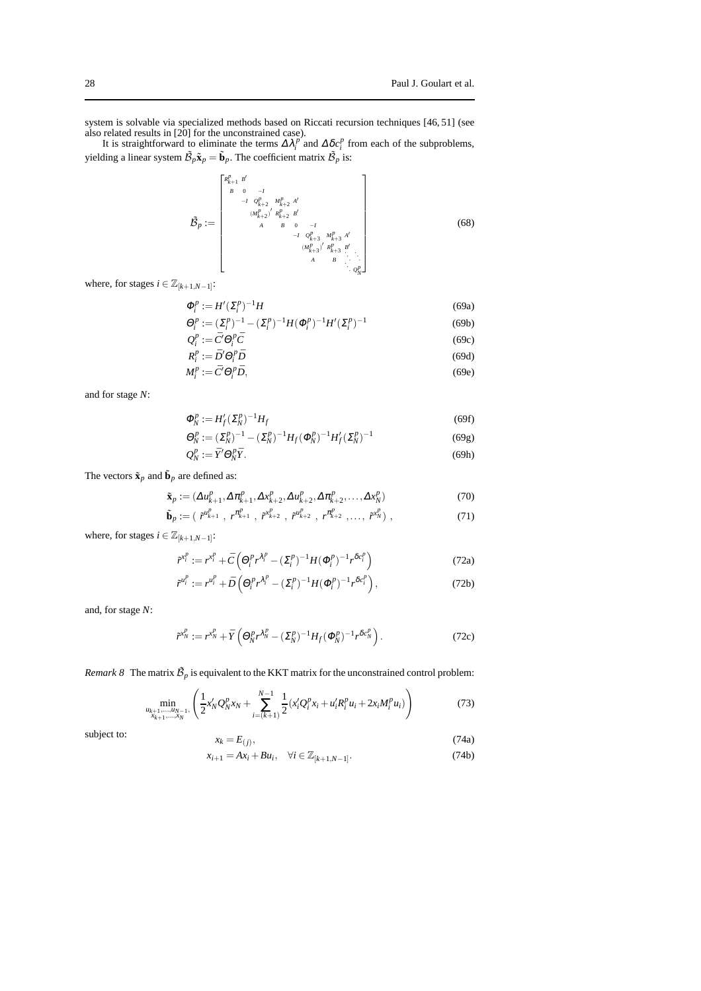system is solvable via specialized methods based on Riccati recursion techniques [46, 51] (see also related results in [20] for the unconstrained case).

It is straightforward to eliminate the terms  $\Delta \lambda_i^p$  and  $\Delta \delta c_i^p$  from each of the subproblems, yielding a linear system  $\tilde{\mathcal{B}}_p \tilde{\mathbf{x}}_p = \tilde{\mathbf{b}}_p$ . The coefficient matrix  $\tilde{\mathcal{B}}_p$  is:

$$
\tilde{\mathcal{B}}_{p} := \begin{bmatrix} \kappa_{k+1}^{p} & b' & & & & \\ \kappa & 0 & -I & & & \\ \kappa & 0 & -I & & & \\ \kappa & \kappa_{k+2}^{p} & \kappa_{k+2}^{p} & \kappa' \\ & \kappa & \kappa_{k+2}^{p} & \kappa' \\ & \kappa & \kappa_{k+3}^{p} & \kappa' \\ & \kappa & \kappa_{k+3}^{p} & \kappa' \\ & \kappa & \kappa_{k+3}^{p} & \kappa' \\ & \kappa & \kappa & \kappa \\ & \kappa & \kappa & \kappa \\ & \kappa & \kappa & \kappa \end{bmatrix} \tag{68}
$$

where, for stages  $i \in \mathbb{Z}_{[k+1,N-1]}$ :

$$
\Phi_i^p := H'(\Sigma_i^p)^{-1}H
$$
\n
$$
\Theta_i^p := (\Sigma_i^p)^{-1} - (\Sigma_i^p)^{-1}H(\Phi_i^p)^{-1}H'(\Sigma_i^p)^{-1}
$$
\n(69a)\n
$$
Q_i^p := \bar{C}'\Theta_i^p\bar{C}
$$
\n(69b)\n(69c)

$$
R_i^p := \overline{D}' \Theta_i^p \overline{D}
$$
 (69d)

$$
M_i^p := \bar{C}' \Theta_i^p \bar{D},\tag{69e}
$$

and for stage *N*:

$$
\Phi_N^p := H_f' (\Sigma_N^p)^{-1} H_f \tag{69f}
$$

$$
\Theta_N^p := (\Sigma_N^p)^{-1} - (\Sigma_N^p)^{-1} H_f (\Phi_N^p)^{-1} H'_f (\Sigma_N^p)^{-1}
$$
\n(69g)  
\n
$$
Q_N^p := \bar{Y}' \Theta_N^p \bar{Y}.
$$
\n(69h)

The vectors  $\tilde{\mathbf{x}}_p$  and  $\tilde{\mathbf{b}}_p$  are defined as:

$$
\tilde{\mathbf{x}}_p := (\Delta u_{k+1}^p, \Delta \pi_{k+1}^p, \Delta x_{k+2}^p, \Delta u_{k+2}^p, \Delta \pi_{k+2}^p, \dots, \Delta x_N^p)
$$
(70)

$$
\tilde{\mathbf{b}}_p := (\tilde{r}^{u_{k+1}^p}, r^{\pi_{k+1}^p}, \tilde{r}^{v_{k+2}^p}, \tilde{r}^{u_{k+2}^p}, r^{\pi_{k+2}^p}, \dots, \tilde{r}^{v_N^p}) ,
$$
\n(71)

where, for stages  $i \in \mathbb{Z}_{[k+1,N-1]}\$ :

$$
\tilde{r}^{x_i^p} := r^{x_i^p} + \bar{C} \left( \Theta_i^p r^{\lambda_i^p} - (\Sigma_i^p)^{-1} H (\Phi_i^p)^{-1} r^{\delta c_i^p} \right)
$$
(72a)

$$
\tilde{r}^{u_i^p} := r^{u_i^p} + \bar{D} \left( \Theta_i^p r^{\lambda_i^p} - (\Sigma_i^p)^{-1} H (\Phi_i^p)^{-1} r^{\delta c_i^p} \right),\tag{72b}
$$

and, for stage *N*:

$$
\tilde{r}^{x_N^p} := r^{x_N^p} + \bar{Y} \left( \Theta_N^p r^{\lambda_N^p} - (\Sigma_N^p)^{-1} H_f (\Phi_N^p)^{-1} r^{\delta c_N^p} \right). \tag{72c}
$$

*Remark 8* The matrix  $\tilde{\mathcal{B}}_p$  is equivalent to the KKT matrix for the unconstrained control problem:

$$
\min_{\substack{u_{k+1},...,u_{N-1},\\x_{k+1},...,x_N}} \left( \frac{1}{2} x_N' Q_N^p x_N + \sum_{i=(k+1)}^{N-1} \frac{1}{2} (x_i' Q_i^p x_i + u_i' R_i^p u_i + 2 x_i M_i^p u_i) \right) \tag{73}
$$

subject to:

$$
x_k = E_{(j)},
$$
  
\n
$$
x_{i+1} = Ax_i + Bu_i, \quad \forall i \in \mathbb{Z}_{[k+1,N-1]}.
$$
\n(74a)